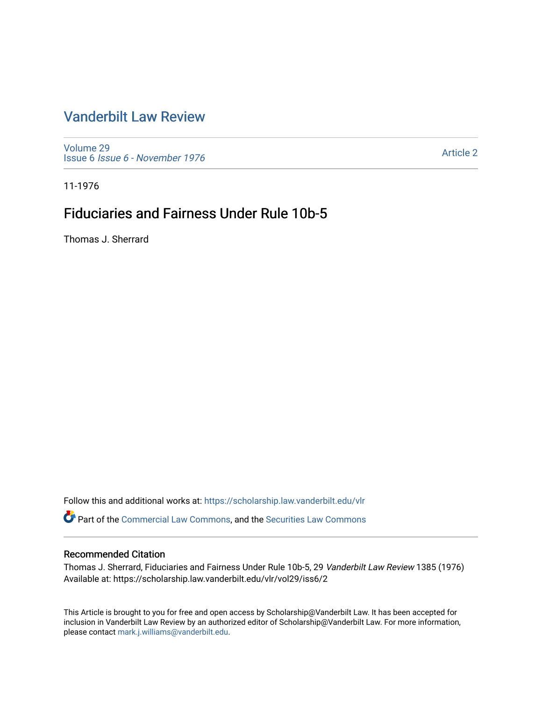# [Vanderbilt Law Review](https://scholarship.law.vanderbilt.edu/vlr)

[Volume 29](https://scholarship.law.vanderbilt.edu/vlr/vol29) Issue 6 [Issue 6 - November 1976](https://scholarship.law.vanderbilt.edu/vlr/vol29/iss6)

[Article 2](https://scholarship.law.vanderbilt.edu/vlr/vol29/iss6/2) 

11-1976

# Fiduciaries and Fairness Under Rule 10b-5

Thomas J. Sherrard

Follow this and additional works at: [https://scholarship.law.vanderbilt.edu/vlr](https://scholarship.law.vanderbilt.edu/vlr?utm_source=scholarship.law.vanderbilt.edu%2Fvlr%2Fvol29%2Fiss6%2F2&utm_medium=PDF&utm_campaign=PDFCoverPages)

Part of the [Commercial Law Commons](http://network.bepress.com/hgg/discipline/586?utm_source=scholarship.law.vanderbilt.edu%2Fvlr%2Fvol29%2Fiss6%2F2&utm_medium=PDF&utm_campaign=PDFCoverPages), and the [Securities Law Commons](http://network.bepress.com/hgg/discipline/619?utm_source=scholarship.law.vanderbilt.edu%2Fvlr%2Fvol29%2Fiss6%2F2&utm_medium=PDF&utm_campaign=PDFCoverPages) 

### Recommended Citation

Thomas J. Sherrard, Fiduciaries and Fairness Under Rule 10b-5, 29 Vanderbilt Law Review 1385 (1976) Available at: https://scholarship.law.vanderbilt.edu/vlr/vol29/iss6/2

This Article is brought to you for free and open access by Scholarship@Vanderbilt Law. It has been accepted for inclusion in Vanderbilt Law Review by an authorized editor of Scholarship@Vanderbilt Law. For more information, please contact [mark.j.williams@vanderbilt.edu.](mailto:mark.j.williams@vanderbilt.edu)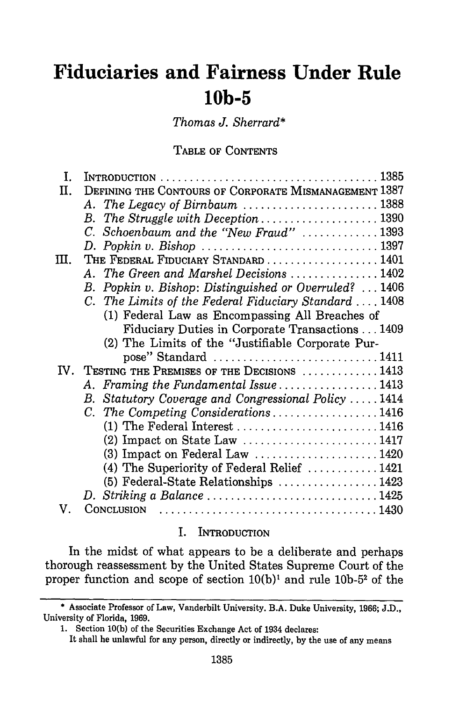# **Fiduciaries and Fairness Under Rule 10b-5**

*Thomas J. Sherrard\**

**TABLE** OF **CONTENTS**

| L  | INTRODUCTION $\dots \dots \dots \dots \dots \dots \dots \dots \dots \dots \dots \dots \dots 1385$ |  |
|----|---------------------------------------------------------------------------------------------------|--|
| Π. | DEFINING THE CONTOURS OF CORPORATE MISMANAGEMENT 1387                                             |  |
|    | A. The Legacy of Birnbaum  1388                                                                   |  |
|    | B. The Struggle with Deception $\ldots \ldots \ldots \ldots \ldots \ldots$ 1390                   |  |
|    | C. Schoenbaum and the "New Fraud" 1393                                                            |  |
|    |                                                                                                   |  |
| Ш. | THE FEDERAL FIDUCIARY STANDARD  1401                                                              |  |
|    | A. The Green and Marshel Decisions 1402                                                           |  |
|    | Popkin v. Bishop: Distinguished or Overruled?  1406<br>B.                                         |  |
|    | C. The Limits of the Federal Fiduciary Standard  1408                                             |  |
|    | (1) Federal Law as Encompassing All Breaches of                                                   |  |
|    | Fiduciary Duties in Corporate Transactions 1409                                                   |  |
|    | (2) The Limits of the "Justifiable Corporate Pur-                                                 |  |
|    | pose" Standard $\dots\dots\dots\dots\dots\dots\dots\dots\dots 1411$                               |  |
|    | IV. TESTING THE PREMISES OF THE DECISIONS  1413                                                   |  |
|    | A. Framing the Fundamental Issue  1413                                                            |  |
|    | Statutory Coverage and Congressional Policy  1414<br>B.                                           |  |
|    | C. The Competing Considerations1416                                                               |  |
|    | $(1)$ The Federal Interest 1416                                                                   |  |
|    |                                                                                                   |  |
|    | $(3)$ Impact on Federal Law 1420                                                                  |  |
|    | (4) The Superiority of Federal Relief $\ldots \ldots \ldots \ldots 1421$                          |  |
|    | (5) Federal-State Relationships  1423                                                             |  |
|    | D. Striking a Balance 1425                                                                        |  |
| V. | CONCLUSION                                                                                        |  |

# I. **INTRODUCTION**

In the midst of what appears to be a deliberate and perhaps thorough reassessment by the United States Supreme Court of the proper function and scope of section 10(b)' and rule **10b-52** of the

<sup>\*</sup> Associate Professor of Law, Vanderbilt University. B.A. Duke University, 1966; J.D., University of Florida, 1969.

<sup>1.</sup> Section **10(b)** of the Securities Exchange Act of 1934 declares:

It shall be unlawful for any person, directly or indirectly, by the use of any means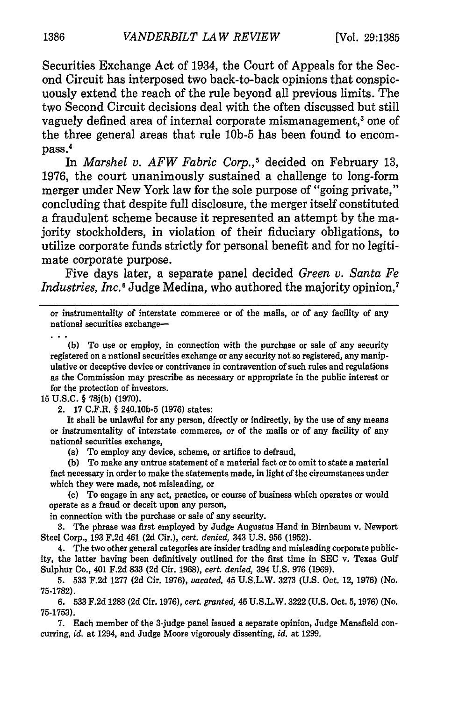Securities Exchange Act of 1934, the Court of Appeals for the Second Circuit has interposed two back-to-back opinions that conspicuously extend the reach of the rule beyond all previous limits. The two Second Circuit decisions deal with the often discussed but still vaguely defined area of internal corporate mismanagement,<sup>3</sup> one of the three general areas that rule **10b-5** has been found to encompass.'

In *Marshel v. AFW Fabric Corp.,5* decided on February 13, 1976, the court unanimously sustained a challenge to long-form merger under New York law for the sole purpose of "going private," concluding that despite full disclosure, the merger itself constituted a fraudulent scheme because it represented an attempt by the majority stockholders, in violation of their fiduciary obligations, to utilize corporate funds strictly for personal benefit and for no legitimate corporate purpose.

Five days later, a separate panel decided *Green v. Santa Fe Industries, Inc.*<sup>6</sup> Judge Medina, who authored the majority opinion,<sup>7</sup>

or instrumentality of interstate commerce or of the mails, or of any facility of any national securities exchange-

**(b)** To use or employ, in connection with the purchase or sale of any security registered on a national securities exchange or any security not so registered, any manipulative or deceptive device or contrivance in contravention of such rules and regulations as the Commission may prescribe as necessary or appropriate in the public interest or for the protection of investors.

**15 U.S.C.** § **78j(b) (1970).**

2. **17** C.F.R. § 240.10b-5 **(1976)** states:

It shall be unlawful for any person, directly or indirectly, **by** the use of any means or instrumentality of interstate commerce, or of the mails or of any facility of any national securities exchange,

(a) To employ any device, scheme, or artifice to defraud,

**(b)** To make any untrue statement of a material fact or to omit to state a material fact necessary in order to make the statements made, in light of the circumstances under which they were made, not misleading, or

**(c)** To engage in any act, practice, or course of business which operates or would operate as a fraud or deceit upon any person,

in connection with the purchase or sale of any security.

**3.** The phrase was first employed **by** Judge Augustus Hand in Birnbaum v. Newport Steel Corp., **193 F.2d** 461 **(2d** Cir.), *cert. denied,* 343 **U.S. 956 (1952).**

4. The two other general categories are insider trading and misleading corporate publicity, the latter having been definitively outlined for the first time in **SEC** v. Texas Gulf Sulphur Co., 401 **F.2d 833 (2d** Cir. **1968),** *cert. denied,* 394 **U.S. 976 (1969).**

**5. 533 F.2d 1277 (2d** Cir. **1976),** *vacated,* 45 **U.S.L.W. 3273 (U.S.** Oct. 12, **1976)** (No. **75-1782).**

**6. 533 F.2d 1283 (2d** Cir. **1976),** *cert. granted,* **45 U.S.L.W. 3222 (U.S.** Oct. **5, 1976)** (No. **75-1753).**

**7.** Each member of the 3-judge panel issued a separate opinion, Judge Mansfield concurring, *id.* at 1294, and Judge Moore vigorously dissenting, *id.* at **1299.**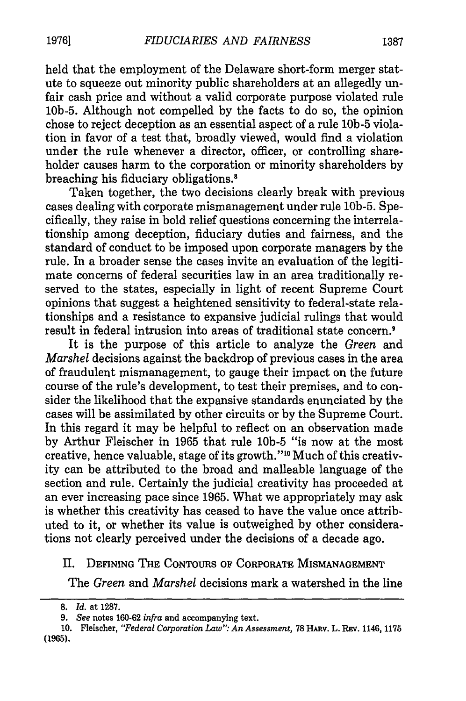held that the employment of the Delaware short-form merger statute to squeeze out minority public shareholders at an allegedly unfair cash price and without a valid corporate purpose violated rule **10b-5.** Although not compelled by the facts to do so, the opinion chose to reject deception as an essential aspect of a rule **lob-5** violation in favor of a test that, broadly viewed, would find a violation under the rule whenever a director, officer, or controlling shareholder causes harm to the corporation or minority shareholders by breaching his fiduciary obligations.8

Taken together, the two decisions clearly break with previous cases dealing with corporate mismanagement under rule **10b-5.** Specifically, they raise in bold relief questions concerning the interrelationship among deception, fiduciary duties and fairness, and the standard of conduct to be imposed upon corporate managers by the rule. In a broader sense the cases invite an evaluation of the legitimate concerns of federal securities law in an area traditionally reserved to the states, especially in light of recent Supreme Court opinions that suggest a heightened sensitivity to federal-state relationships and a resistance to expansive judicial rulings that would result in federal intrusion into areas of traditional state concern.<sup>9</sup>

It is the purpose of this article to analyze the *Green* and *Marshel* decisions against the backdrop of previous cases in the area of fraudulent mismanagement, to gauge their impact on the future course of the rule's development, to test their premises, and to consider the likelihood that the expansive standards enunciated by the cases will be assimilated by other circuits or by the Supreme Court. In this regard it may be helpful to reflect on an observation made by Arthur Fleischer in 1965 that rule **10b-5** "is now at the most creative, hence valuable, stage of its growth."<sup>10</sup> Much of this creativity can be attributed to the broad and malleable language of the section and rule. Certainly the judicial creativity has proceeded at an ever increasing pace since 1965. What we appropriately may ask is whether this creativity has ceased to have the value once attributed to it, or whether its value is outweighed by other considerations not clearly perceived under the decisions of a decade ago.

## II. **DEFINING THE CONTOURS OF** CORPORATE **MISMANAGEMENT**

The *Green* and *Marshel* decisions mark a watershed in the line

**<sup>8.</sup>** *Id.* at **1287.**

*<sup>9.</sup> See* **notes 160-62** *infra* **and accompanying text.**

**<sup>10.</sup>** Fleischer, *"Federal Corporation Law": An Assessment,* **78** HARv. L. REV. 1146, 1175 **(1965).**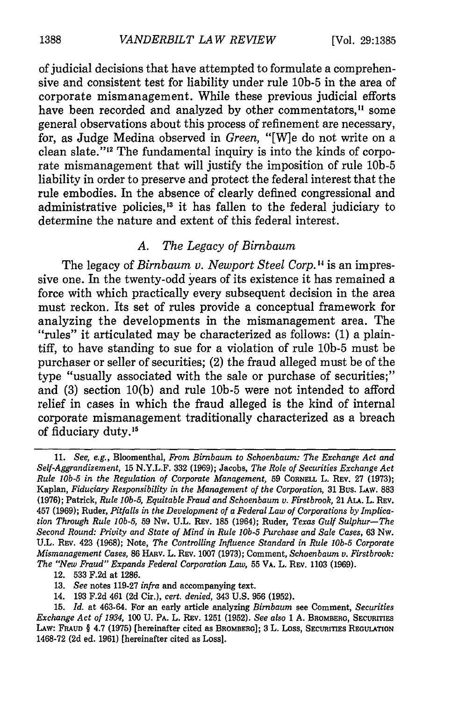of judicial decisions that have attempted to formulate a comprehensive and consistent test for liability under rule **10b-5** in the area of corporate mismanagement. While these previous judicial efforts have been recorded and analyzed by other commentators,<sup>11</sup> some general observations about this process of refinement are necessary, for, as Judge Medina observed in *Green,* "[W]e do not write on a clean slate."<sup>12</sup> The fundamental inquiry is into the kinds of corporate mismanagement that will justify the imposition of rule **10b-5** liability in order to preserve and protect the federal interest that the rule embodies. In the absence of clearly defined congressional and administrative policies, 13 it has fallen to the federal judiciary to determine the nature and extent of this federal interest.

# *A. The Legacy of Birnbaum*

The legacy of *Birnbaum v. Newport Steel Corp.* **1 <sup>4</sup>**is an impressive one. In the twenty-odd years of its existence it has remained a force with which practically every subsequent decision in the area must reckon. Its set of rules provide a conceptual framework for analyzing the developments in the mismanagement area. The "rules" it articulated may be characterized as follows: (1) a plaintiff, to have standing to sue for a violation of rule **10b-5** must be purchaser or seller of securities; (2) the fraud alleged must be of the type "usually associated with the sale or purchase of securities;" and (3) section 10(b) and rule **10b-5** were not intended to afford relief in cases in which the fraud alleged is the kind of internal corporate mismanagement traditionally characterized as a breach of fiduciary duty.<sup>15</sup>

<sup>11.</sup> *See, e.g.,* Bloomenthal, *From Birnbaum to Schoenbaum: The Exchange Act and Self-Aggrandizement,* 15 N.Y.L.F. 332 (1969); Jacobs, *The Role of Securities Exchange Act Rule 1Ob-5 in the Regulation of Corporate Management,* 59 **CORNELL** L. REV. 27 (1973); Kaplan, *Fiduciary Responsibility in the Management of the Corporation,* **31** Bus. **LAW. 883 (1976);** Patrick, *Rule 10b.5, Equitable Fraud and Schoenbaum v. Firstbrook,* 21 **ALA.** L. **REV. 457 (1969);** Ruder, *Pitfalls in the Development of a Federal Law of Corporations by Implication Through Rule lOb-5,* **59** Nw. **U.L.** REv. **185** (1964); Ruder, *Texas Gulf Sulphur-The Second Round: Privity and State of Mind in Rule* **10b-5** *Purchase and Sale Cases,* **63** Nw. **U.L. REV. 423 (1968);** Note, *The Controlling Influence Standard in Rule* **10b-5** *Corporate Mismanagement Cases,* **86** HAv. L. REV. **1007 (1973);** Comment, *Schoenbaum v. Firstbrook: The "New Fraud" Expands Federal Corporation Law,* **55 VA.** L. **REV. 1103 (1969).**

**<sup>12. 533</sup> F.2d** at **1286.**

**<sup>13.</sup>** *See* notes **119-27** *infra* and accompanying text.

<sup>14.</sup> **193 F.2d** 461 **(2d** Cir.), *cert. denied,* 343 **U.S. 956 (1952).**

**<sup>15.</sup>** *Id.* at 463-64. For an early article **analyzing** *Birnbaum* see **Comment,** *Securities Exchange Act of 1934,* **100 U.** PA. L. **REV. 1251 (1952).** *See also* **1 A. BROMBERG, SECURITIES LAW: FRAUD** § 4.7 **(1975)** [hereinafter cited as BROMBERG]; **3** L. Loss, SECURITIEs **REGULATION** 1468-72 (2d ed. 1961) [hereinafter cited as Loss].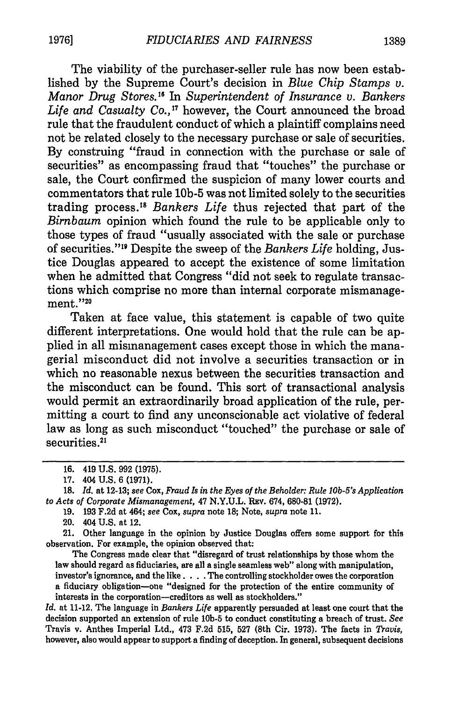The viability of the purchaser-seller rule has now been established by the Supreme Court's decision in *Blue Chip Stamps v. Manor Drug Stores." In Superintendent of Insurance v. Bankers* Life and Casualty Co.,<sup>17</sup> however, the Court announced the broad rule that the fraudulent conduct of which a plaintiff complains need not be related closely to the necessary purchase or sale of securities. By construing "fraud in connection with the purchase or sale of securities" as encompassing fraud that "touches" the purchase or sale, the Court confirmed the suspicion of many lower courts and commentators that rule **10b-5** was not limited solely to the securities trading process. <sup>8</sup>*Bankers Life* thus rejected that part of the *Birnbaum* opinion which found the rule to be applicable only to those types of fraud "usually associated with the sale or purchase of securities."" Despite the sweep of the *Bankers Life* holding, Justice Douglas appeared to accept the existence of some limitation when he admitted that Congress "did not seek to regulate transactions which comprise no more than internal corporate mismanage $ment."$ <sup>20</sup>

Taken at face value, this statement is capable of two quite different interpretations. One would hold that the rule can be applied in all mismanagement cases except those in which the managerial misconduct did not involve a securities transaction or in which no reasonable nexus between the securities transaction and the misconduct can be found. This sort of transactional analysis would permit an extraordinarily broad application of the rule, permitting a court to find any unconscionable act violative of federal law as long as such misconduct "touched" the purchase or sale of securities.<sup>21</sup>

20. 404 U.S. at 12.

21. Other language in the opinion by Justice Douglas offers some support for this observation. For example, the opinion observed that:

The Congress made clear that "disregard of trust relationships by those whom the law should regard as fiduciaries, are all a single seamless web" along with manipulation, investor's ignorance, and the like. . **.** .The controlling stockholder owes the corporation a fiduciary obligation-one "designed for the protection of the entire community of interests in the corporation-creditors as well as stockholders."

*Id.* at 11-12. The language in *Bankers Life* apparently persuaded at least one court that the decision supported an extension of rule l0b-5 to conduct constituting a breach of trust. *See* Travis v. Anthes Imperial Ltd., 473 F.2d 515, 527 (8th Cir. 1973). The facts in *Travis,* however, also would appear to support a finding of deception. In general, subsequent decisions

<sup>16. 419</sup> U.S. 992 (1975).

<sup>17. 404</sup> U.S. 6 **(1971).**

**<sup>18.</sup>** *Id.* at 12-13; *see* Cox, *Fraud Is in the Eyes of the Beholder: Rule lOb-5's Application to Acts of Corporate Mismanagement,* 47 **N.Y.U.L.** Rav. 674, 680-81 **(1972).**

<sup>19. 193</sup> F.2d at 464; *see* Cox, *supra* note 18; Note, *supra* note 11.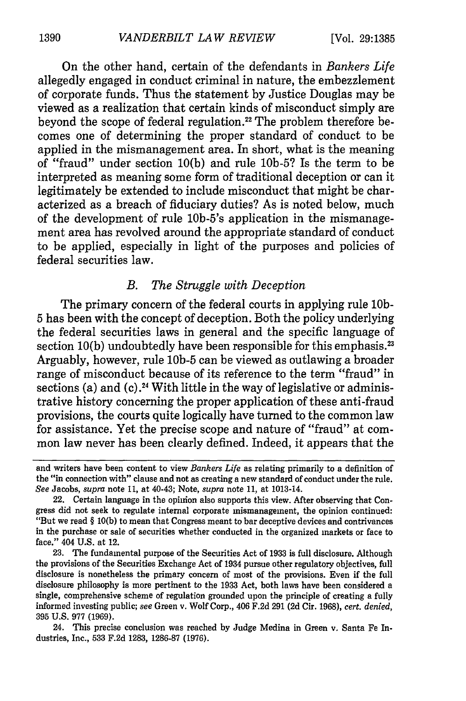On the other hand, certain of the defendants in *Bankers Life* allegedly engaged in conduct criminal in nature, the embezzlement of corporate funds. Thus the statement by Justice Douglas may be viewed as a realization that certain kinds of misconduct simply are beyond the scope of federal regulation.<sup>22</sup> The problem therefore becomes one of determining the proper standard of conduct to be applied in the mismanagement area. In short, what is the meaning of "fraud" under section 10(b) and rule 10b-5? Is the term to be interpreted as meaning some form of traditional deception or can it legitimately be extended to include misconduct that might be characterized as a breach of fiduciary duties? As is noted below, much of the development of rule 10b-5's application in the mismanagement area has revolved around the appropriate standard of conduct to be applied, especially in light of the purposes and policies of federal securities law.

#### *B. The Struggle with Deception*

The primary concern of the federal courts in applying rule **10b-**5 has been with the concept of deception. Both the policy underlying the federal securities laws in general and the specific language of section  $10(b)$  undoubtedly have been responsible for this emphasis.<sup>23</sup> Arguably, however, rule **10b-5** can be viewed as outlawing a broader range of misconduct because of its reference to the term "fraud" in sections (a) and  $(c)$ .<sup>24</sup> With little in the way of legislative or administrative history concerning the proper application of these anti-fraud provisions, the courts quite logically have turned to the common law for assistance. Yet the precise scope and nature of "fraud" at common law never has been clearly defined. Indeed, it appears that the

and writers have been content to view *Bankers Life* as relating primarily to a definition of the "in connection with" clause and not as creating a new standard of conduct under the rule. *See* Jacobs, *supra* note **11,** at 40-43; Note, *supra* note **11,** at 1013-14.

<sup>22.</sup> Certain language in the opinion also supports this view. After observing that Congress did not seek to regulate internal corporate mismanagement, the opinion continued: "But we read § **10(b)** to mean that Congress meant to bar deceptive devices and contrivances in the purchase or sale of securities whether conducted **in** the organized markets or face to face." 404 **U.S.** at 12.

**<sup>23.</sup>** The fundamental purpose of the Securities Act of **1933** is full disclosure. Although the provisions of the Securities Exchange Act of 1934 pursue other regulatory objectives, full disclosure is nonetheless the primary concern of most of the provisions. Even if the **full** disclosure philosophy is more pertinent to the **1933** Act, both laws have been considered a single, comprehensive scheme of regulation grounded upon the principle of creating a **fully** informed investing public; *see* Green v. Wolf Corp., 406 **F.2d 291 (2d** Cir. **1968),** *cert. denied,* **395 U.S. 977 (1969).**

<sup>24.</sup> This precise conclusion was reached **by** Judge Medina in Green v. Santa Fe Industries, Inc., **533 F.2d 1283, 1286-87 (1976).**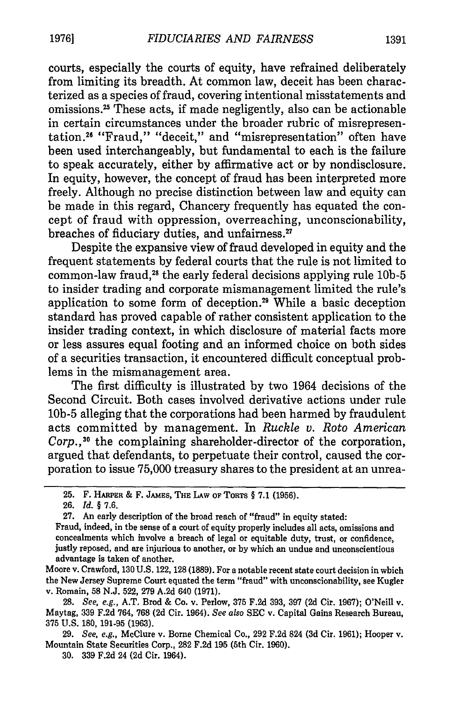courts, especially the courts of equity, have refrained deliberately from limiting its breadth. At common law, deceit has been characterized as a species of fraud, covering intentional misstatements and omissions.<sup>25</sup> These acts, if made negligently, also can be actionable in certain circumstances under the broader rubric of misrepresentation.<sup>26</sup> "Fraud," "deceit," and "misrepresentation" often have been used interchangeably, but fundamental to each is the failure to speak accurately, either by affirmative act or by nondisclosure. In equity, however, the concept of fraud has been interpreted more freely. Although no precise distinction between law and equity can be made in this regard, Chancery frequently has equated the concept of fraud with oppression, overreaching, unconscionability, breaches of fiduciary duties, and unfairness.<sup>27</sup>

Despite the expansive view of fraud developed in equity and the frequent statements by federal courts that the rule is not limited to common-law fraud,<sup>28</sup> the early federal decisions applying rule 10b-5 to insider trading and corporate mismanagement limited the rule's application to some form of deception.29 While a basic deception standard has proved capable of rather consistent application to the insider trading context, in which disclosure of material facts more or less assures equal footing and an informed choice on both sides of a securities transaction, it encountered difficult conceptual problems in the mismanagement area.

The first difficulty is illustrated by two 1964 decisions of the Second Circuit. Both cases involved derivative actions under rule **10b-5** alleging that the corporations had been harmed by fraudulent acts committed by management. In *Ruckle v. Roto American Corp.,30* the complaining shareholder-director of the corporation, argued that defendants, to perpetuate their control, caused the corporation to issue 75,000 treasury shares to the president at an unrea-

26. *Id. §* 7.6.

27. An early description of the broad reach of "fraud" in equity stated:

Moore v. Crawford, 130 U.S. 122, 128 (1889). For a notable recent state court decision in which the New Jersey Supreme Court equated the term "fraud" with unconscionability, see Kugler v. Romain, 58 N.J. 522, 279 A.2d 640 (1971).

28. *See, e.g.,* A.T. Brod & Co. v. Perlow, 375 F.2d 393, 397 (2d Cir. 1967); O'Neill v. Maytag, 339 F.2d 764, 768 (2d Cir. 1964). *See also* SEC v. Capital Gains Research Bureau, 375 U.S. 180, 191-95 (1963).

29. *See, e.g.,* McClure v. Borne Chemical Co., 292 F.2d 824 (3d Cir. 1961); Hooper v. Mountain State Securities Corp., 282 F.2d 195 (5th Cir. 1960).

30. 339 F.2d 24 (2d Cir. 1964).

<sup>25.</sup> F. **HARPER** & F. JAMES, **THE** LAW **OF TOTS** § 7.1 (1956).

Fraud, indeed, in the sense of a court of equity properly includes all acts, omissions and concealments which involve a breach of legal or equitable duty, trust, or confidence, justly reposed, and are injurious to another, or by which an undue and unconscientious advantage is taken of another.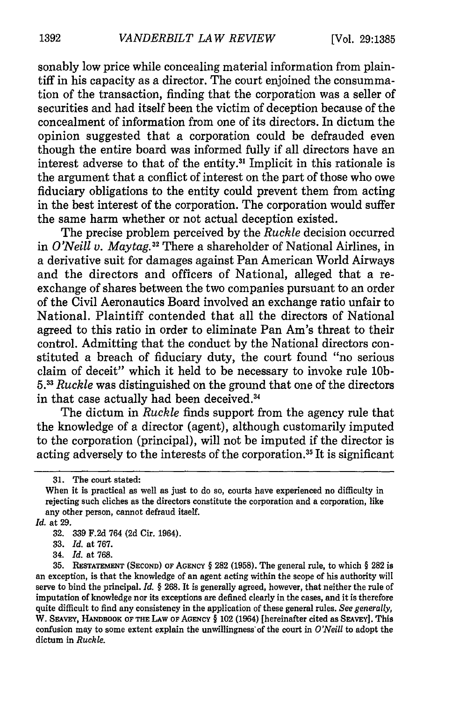sonably low price while concealing material information from plaintiff in his capacity as a director. The court enjoined the consummation of the transaction, finding that the corporation was a seller of securities and had itself been the victim of deception because of the concealment of information from one of its directors. In dictum the opinion suggested that a corporation could be defrauded even though the entire board was informed fully if all directors have an interest adverse to that of the entity.31 Implicit in this rationale is the argument that a conflict of interest on the part of those who owe fiduciary obligations to the entity could prevent them from acting in the best interest of the corporation. The corporation would suffer the same harm whether or not actual deception existed.

The precise problem perceived by the *Ruckle* decision occurred in *O'Neill v. Maytag.*<sup>32</sup> There a shareholder of National Airlines, in a derivative suit for damages against Pan American World Airways and the directors and officers of National, alleged that a reexchange of shares between the two companies pursuant to an order of the Civil Aeronautics Board involved an exchange ratio unfair to National. Plaintiff contended that all the directors of National agreed to this ratio in order to eliminate Pan Am's threat to their control. Admitting that the conduct by the National directors constituted a breach of fiduciary duty, the court found "no serious claim of deceit" which it held to be necessary to invoke rule **10b-**5.33 *Ruckle* was distinguished on the ground that one of the directors in that case actually had been deceived.<sup>34</sup>

The dictum in *Ruckle* finds support from the agency rule that the knowledge of a director (agent), although customarily imputed to the corporation (principal), will not be imputed if the director is acting adversely to the interests of the corporation.<sup>35</sup> It is significant

*Id.* at **29.**

34. *Id.* **at 768.**

**<sup>31.</sup>** The court stated:

When it is practical as well as just to do so, courts have experienced no difficulty in rejecting such cliches as the directors constitute the corporation and a corporation, like any other person, cannot defraud itself.

**<sup>32. 339</sup> F.2d** 764 **(2d** Cir. 1964).

**<sup>33.</sup>** *Id.* **at 767.**

**<sup>35.</sup> RESTATEMENT (SECOND) OF AGENCY** § 282 **(1958).** The general rule, to which § **282** is an exception, is that the knowledge of an agent acting within the scope of his authority will serve to bind the principal. *Id.* § **268.** It is generally agreed, however, that neither the rule of imputation of knowledge nor its exceptions are defined clearly in the cases, and it is therefore quite difficult to find any consistency in the application of these general rules. *See generally,* W. SEAVEY, HANDBOOK OF THE **LAW OF AGENCY** § 102 (1964) [hereinafter cited as **SEAVEY].** This confusion **may** to **some** extent explain the unwillingness'of the court in *O'Neill* to adopt the dictum **in** *Ruckle.*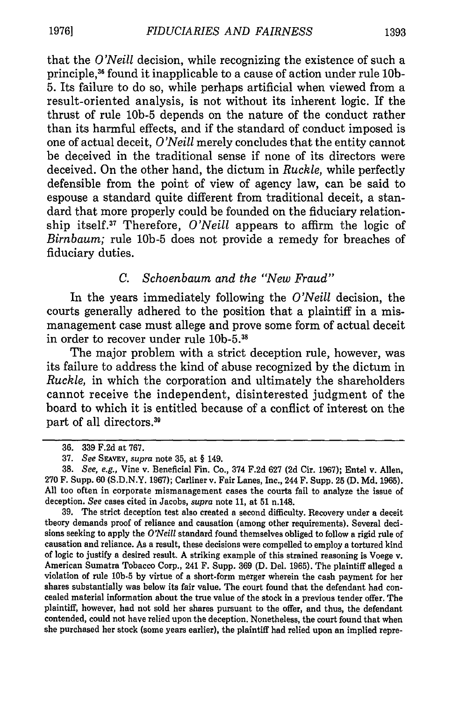that the *O'Neill* decision, while recognizing the existence of such a principle,36 found it inapplicable to a cause of action under rule **10b-**5. Its failure to do so, while perhaps artificial when viewed from a result-oriented analysis, is not without its inherent logic. If the thrust of rule **10b-5** depends on the nature of the conduct rather than its harmful effects, and if the standard of conduct imposed is one of actual deceit, *O'Neill* merely concludes that the entity cannot be deceived in the traditional sense if none of its directors were deceived. On the other hand, the dictum in *Ruckle,* while perfectly defensible from the point of view of agency law, can be said to espouse a standard quite different from traditional deceit, a standard that more properly could be founded on the fiduciary relationship itself.<sup>37</sup> Therefore, *O'Neill* appears to affirm the logic of *Birnbaum;* rule **10b-5** does not provide a remedy for breaches of fiduciary duties.

### *C. Schoenbaum and the "New Fraud"*

In the years immediately following the *O'Neill* decision, the courts generally adhered to the position that a plaintiff in a mismanagement case must allege and prove some form of actual deceit in order to recover under rule **10b-5.38**

The major problem with a strict deception rule, however, was its failure to address the kind of abuse recognized by the dictum in *Ruckle,* in which the corporation and ultimately the shareholders cannot receive the independent, disinterested judgment of the board to which it is entitled because of a conflict of interest on the part of all directors.<sup>39</sup>

39. The strict deception test also created a second difficulty. Recovery under a deceit theory demands proof of reliance and causation (among other requirements). Several decisions seeking to apply the *O'Neill* standard found themselves obliged to follow a rigid rule of causation and reliance. As a result, these decisions were compelled to employ a tortured kind of logic to justify a desired result. A striking example of this strained reasoning is Voege v. American Sumatra Tobacco Corp., 241 F. Supp. 369 (D. Del. 1965). The plaintiff alleged a violation of rule **10b-5** by virtue of a short-form merger wherein the cash payment for her shares substantially was below its fair value. The court found that the defendant had concealed material information about the true value of the stock in a previous tender offer. The plaintiff, however, had not sold her shares pursuant to the offer, and thus, the defendant contended, could not have relied upon the deception. Nonetheless, the court found that when she purchased her stock (some years earlier), the plaintiff had relied upon an implied repre-

<sup>36. 339</sup> F.2d at 767.

<sup>37.</sup> *See SEAVEY, supra* note 35, at § 149.

<sup>38.</sup> *See, e.g.,* Vine v. Beneficial Fin. Co., 374 F.2d 627 (2d Cir. 1967); Entel v. Allen, 270 F. Supp. 60 (S.D.N.Y. 1967); Carliner v. Fair Lanes, Inc., 244 F. Supp. 25 **(D.** Md. 1965). All too often in corporate mismanagement cases the courts fail to analyze the issue of deception. *See* cases cited in Jacobs, *supra* note 11, at **51** n.148.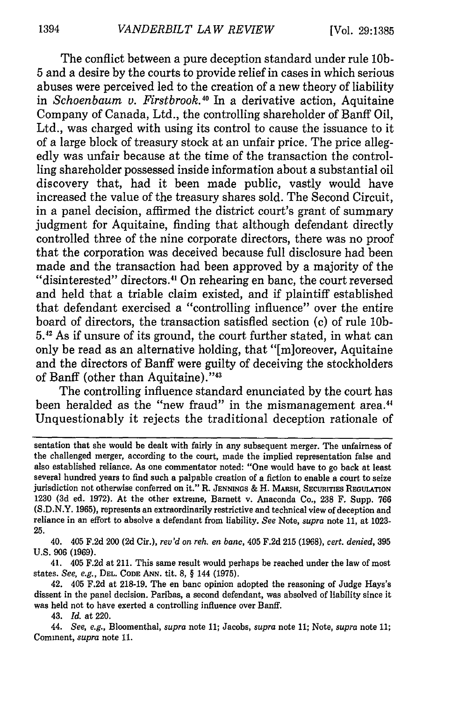The conflict between a pure deception standard under rule **10b-**5 and a desire by the courts to provide relief in cases in which serious abuses were perceived led to the creation of a new theory of liability in *Schoenbaum v. Firstbrook.40* In a derivative action, Aquitaine Company of Canada, Ltd., the controlling shareholder of Banff Oil, Ltd., was charged with using its control to cause the issuance to it of a large block of treasury stock at an unfair price. The price allegedly was unfair because at the time of the transaction the controlling shareholder possessed inside information about a substantial oil discovery that, had it been made public, vastly would have increased the value of the treasury shares sold. The Second Circuit, in a panel decision, affirmed the district court's grant of summary judgment for Aquitaine, finding that although defendant directly controlled three of the nine corporate directors, there was no proof that the corporation was deceived because full disclosure had been made and the transaction had been approved by a majority of the "disinterested" directors.<sup>41</sup> On rehearing en banc, the court reversed and held that a triable claim existed, and if plaintiff established that defendant exercised a "controlling influence" over the entire board of directors, the transaction satisfied section (c) of rule **10b-5.42** As if unsure of its ground, the court further stated, in what can only be read as an alternative holding, that "[m]oreover, Aquitaine and the directors of Banff were guilty of deceiving the stockholders of Banff (other than Aquitaine)."43

The controlling influence standard enunciated by the court has been heralded as the "new fraud" in the mismanagement area.<sup>44</sup> Unquestionably it rejects the traditional deception rationale of

40. 405 F.2d 200 **(2d** Cir.), *rev'd on reh. en banc,* 405 F.2d **215 (1968),** *cert. denied,* **395** U.S. **906 (1969).**

41. 405 F.2d at 211. This same result would perhaps be reached under the law of most states. *See, e.g.,* **DEL. CODE ANN.** tit. **8,** § 144 (1975).

42. 405 F.2d at **218-19.** The en banc opinion adopted the reasoning of Judge Hays's dissent in the panel decision. Paribas, a second defendant, was absolved of liability since it was held not to have exerted a controlling influence over Banff.

43. *Id.* **at** 220.

44. *See, e.g.,* Bloomenthal, *supra* note **11;** Jacobs, *supra* note **11;** Note, *supra* **note 11;** Comment, *supra* **note** 11.

sentation that she would be dealt with fairly in any subsequent merger. The unfairness of the challenged merger, according to the court, made the implied representation false and also established reliance. As one commentator noted: "One would have to go back at least several hundred years to find such a palpable creation of a fiction to enable a court to seize jurisdiction not otherwise conferred on it." R. JENNINGS & H. MARSH, SECURITIES REGULATION 1230 (3d ed. 1972). At the other extreme, Barnett v. Anaconda Co., **238** F. Supp. 766 (S.D.N.Y. **1965),** represents an extraordinarily restrictive and technical view of deception and reliance in an effort to absolve a defendant from liability. *See* Note, *supra* note 11, at 1023- **25.**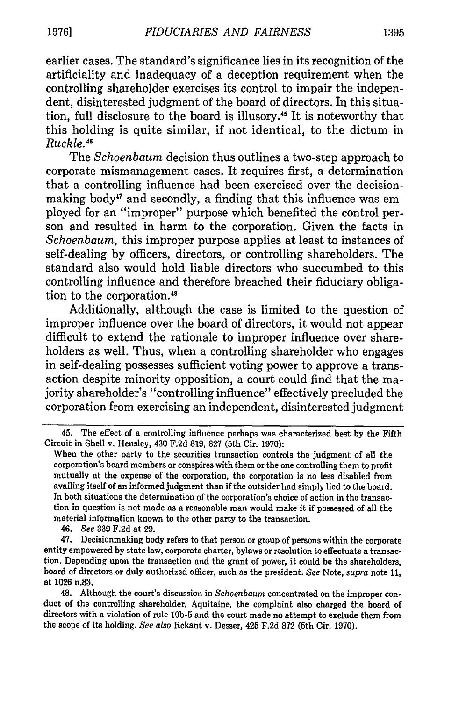earlier cases. The standard's significance lies in its recognition of the artificiality and inadequacy of a deception requirement when the controlling shareholder exercises its control to impair the independent, disinterested judgment of the board of directors. In this situation, full disclosure to the board is illusory.<sup>45</sup> It is noteworthy that this holding is quite similar, if not identical, to the dictum in *Ruckle.45*

The *Schoenbaum* decision thus outlines a two-step approach to corporate mismanagement cases. It requires first, a determination that a controlling influence had been exercised over the decisionmaking body<sup>47</sup> and secondly, a finding that this influence was employed for an "improper" purpose which benefited the control person and resulted in harm to the corporation. Given the facts in *Schoenbaum,* this improper purpose applies at least to instances of self-dealing **by** officers, directors, or controlling shareholders. The standard also would hold liable directors who succumbed to this controlling influence and therefore breached their fiduciary obligation to the corporation.<sup>48</sup>

Additionally, although the case is limited to the question of improper influence over the board of directors, it would not appear difficult to extend the rationale to improper influence over shareholders as well. Thus, when a controlling shareholder who engages in self-dealing possesses sufficient voting power to approve a transaction despite minority opposition, a court could find that the majority shareholder's "controlling influence" effectively precluded the corporation from exercising an independent, disinterested judgment

46. *See* **339 F.2d** at **29.**

47. Decisionmaking body refers to that person or group of persons within the corporate entity empowered **by** state law, corporate charter, bylaws or resolution to effectuate a transaction. Depending upon the transaction and the grant of power, it could be the shareholders, board of directors or duly authorized officer, such as the president. *See* Note, *supra* note **11,** at **1026** n.83.

48. Although the court's discussion in *Schoenbaum* concentrated on the improper conduct of the controlling shareholder, Aquitaine, the complaint also charged the board of directors with a violation of rule **10b-5** and the court made no attempt to exclude them from the scope of its holding. *See also* Rekant v. Desser, 425 **F.2d 872** (5th Cir. **1970).**

<sup>45.</sup> The effect of a controlling influence perhaps was characterized best **by** the Fifth Circuit in Shell v. Hensley, 430 **F.2d 819, 827** (5th **Cir. 1970):**

When the other party to the securities transaction controls the judgment of all the corporation's board members or conspires with them or the one controlling them to profit mutually at the expense of the corporation, the corporation is no less disabled from availing itself of an informed judgment than if the outsider had simply lied to the board. In both situations the determination of the corporation's choice of action in the transaction in question is not made as a reasonable man would make it if possessed of all the material information known to the other party to the transaction.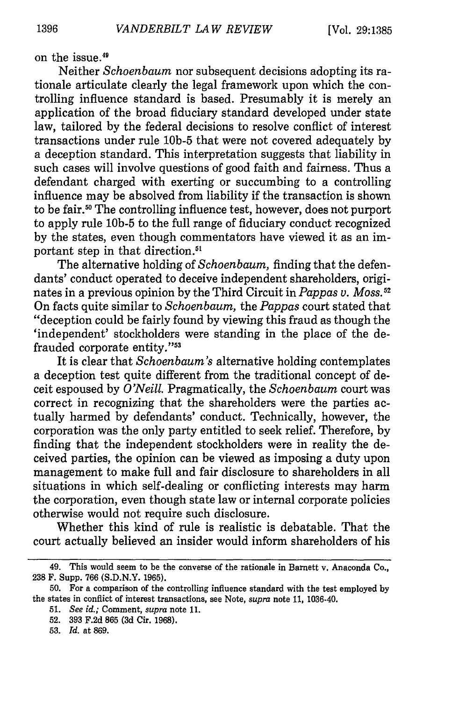on the issue.<sup>46</sup>

Neither *Schoenbaum* nor subsequent decisions adopting its rationale articulate clearly the legal framework upon which the controlling influence standard is based. Presumably it is merely an application of the broad fiduciary standard developed under state law, tailored by the federal decisions to resolve conflict of interest transactions under rule **10b-5** that were not covered adequately by a deception standard. This interpretation suggests that liability in such cases will involve questions of good faith and fairness. Thus a defendant charged with exerting or succumbing to a controlling influence may be absolved from liability if the transaction is shown to be fair.<sup>50</sup> The controlling influence test, however, does not purport to apply rule **10b-5** to the full range of fiduciary conduct recognized by the states, even though commentators have viewed it as an important step in that direction."

The alternative holding of *Schoenbaum,* finding that the defendants' conduct operated to deceive independent shareholders, originates in a previous opinion by the Third Circuit in *Pappas v. Moss.5* On facts quite similar to *Schoenbaum,* the *Pappas* court stated that "deception could be fairly found by viewing this fraud as though the 'independent' stockholders were standing in the place of the defrauded corporate entity."<sup>53</sup>

It is clear that *Schoenbaum's* alternative holding contemplates a deception test quite different from the traditional concept of deceit espoused by *O'Neill.* Pragmatically, the *Schoenbaum* court was correct in recognizing that the shareholders were the parties actually harmed by defendants' conduct. Technically, however, the corporation was the only party entitled to seek relief. Therefore, by finding that the independent stockholders were in reality the deceived parties, the opinion can be viewed as imposing a duty upon management to make full and fair disclosure to shareholders in all situations in which self-dealing or conflicting interests may harm the corporation, even though state law or internal corporate policies otherwise would not require such disclosure.

Whether this kind of rule is realistic is debatable. That the court actually believed an insider would inform shareholders of his

<sup>49.</sup> This would seem to be the converse of the rationale in Barnett v. Anaconda Co., 238 F. Supp. 766 (S.D.N.Y. 1965).

<sup>50.</sup> For a comparison of the controlling influence standard with the test employed by the states in conflict of interest transactions, see Note, *supra* note 11, 1036-40.

<sup>51.</sup> *See id.;* Comment, *supra* note 11.

<sup>52. 393</sup> F.2d 865 (3d Cir. 1968).

<sup>53.</sup> *Id.* at 869.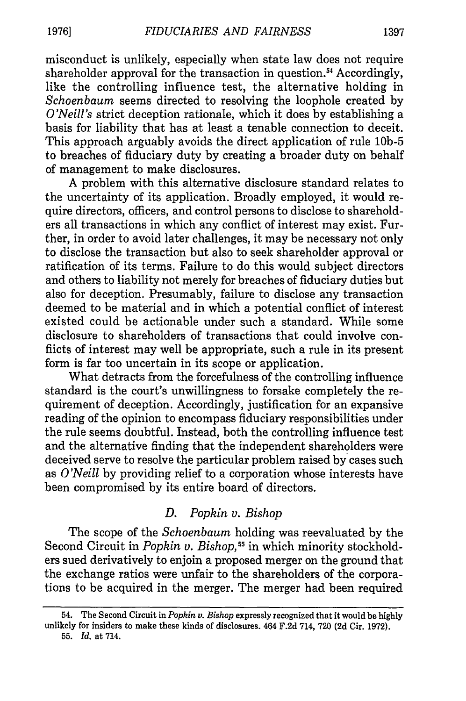misconduct is unlikely, especially when state law does not require shareholder approval for the transaction in question.<sup>54</sup> Accordingly, like the controlling influence test, the alternative holding in *Schoenbaum* seems directed to resolving the loophole created by *O'Neill's* strict deception rationale, which it does by establishing a basis for liability that has at least a tenable connection to deceit. This approach arguably avoids the direct application of rule **10b-5** to breaches of fiduciary duty by creating a broader duty on behalf of management to make disclosures.

A problem with this alternative disclosure standard relates to the uncertainty of its application. Broadly employed, it would require directors, officers, and control persons to disclose to shareholders all transactions in which any conflict of interest may exist. Further, in order to avoid later challenges, it may be necessary not only to disclose the transaction but also to seek shareholder approval or ratification of its terms. Failure to do this would subject directors and others to liability not merely for breaches of fiduciary duties but also for deception. Presumably, failure to disclose any transaction deemed to be material and in which a potential conflict of interest existed could be actionable under such a standard. While some disclosure to shareholders of transactions that could involve conflicts of interest may well be appropriate, such a rule in its present form is far too uncertain in its scope or application.

What detracts from the forcefulness of the controlling influence standard is the court's unwillingness to forsake completely the requirement of deception. Accordingly, justification for an expansive reading of the opinion to encompass fiduciary responsibilities under the rule seems doubtful. Instead, both the controlling influence test and the alternative finding that the independent shareholders were deceived serve to resolve the particular problem raised by cases such as *O'Neill* by providing relief to a corporation whose interests have been compromised by its entire board of directors.

## *D. Popkin v. Bishop*

The scope of the *Schoenbaum* holding was reevaluated by the Second Circuit in *Popkin v. Bishop*,<sup>55</sup> in which minority stockholders sued derivatively to enjoin a proposed merger on the ground that the exchange ratios were unfair to the shareholders of the corporations to be acquired in the merger. The merger had been required

<sup>54.</sup> The Second Circuit in *Popkin v. Bishop* expressly recognized that it would be highly unlikely for insiders to make these kinds of disclosures. 464 F.2d 714, 720 (2d Cir. 1972). 55. *Id.* at 714.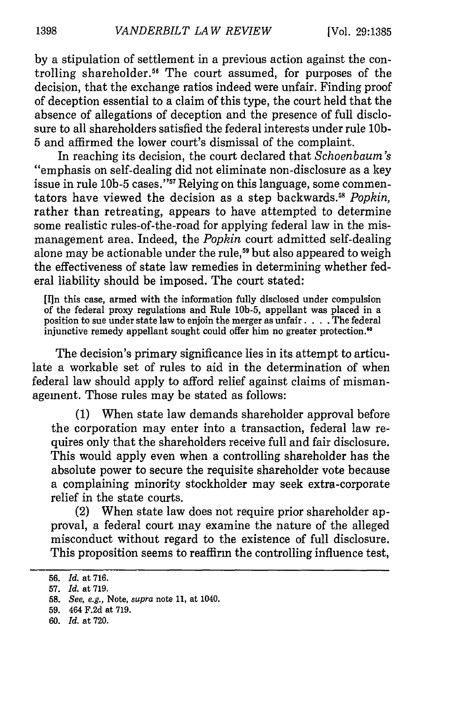by a stipulation of settlement in a previous action against the controlling shareholder.<sup>56</sup> The court assumed, for purposes of the decision, that the exchange ratios indeed were unfair. Finding proof of deception essential to a claim of this type, the court held that the absence of allegations of deception and the presence of full disclosure to all shareholders satisfied the federal interests under rule **10b-**5 and affirmed the lower court's dismissal of the complaint.

In reaching its decision, the court declared that *Schoenbaum's* "emphasis on self-dealing did not eliminate non-disclosure as a key issue in rule 10b-5 cases."<sup>57</sup> Relying on this language, some commentators have viewed the decision as a step backwards." *Popkin,* rather than retreating, appears to have attempted to determine some realistic rules-of-the-road for applying federal law in the mismanagement area. Indeed, the *Popkin* court admitted self-dealing alone may be actionable under the rule,<sup>59</sup> but also appeared to weigh the effectiveness of state law remedies in determining whether federal liability should be imposed. The court stated:

[I]n this case, armed with the information fully disclosed under compulsion of the federal proxy regulations and Rule 10b-5, appellant was placed in a position to sue under state law to enjoin the merger as unfair **....** The federal injunctive remedy appellant sought could offer him no greater protection.'

The decision's primary significance lies in its attempt to articulate a workable set of rules to aid in the determination of when federal law should apply to afford relief against claims of mismanagement. Those rules may be stated as follows:

(1) When state law demands shareholder approval before the corporation may enter into a transaction, federal law requires only that the shareholders receive full and fair disclosure. This would apply even when a controlling shareholder has the absolute power to secure the requisite shareholder vote because a complaining minority stockholder may seek extra-corporate relief in the state courts.

(2) When state law does not require prior shareholder approval, a federal court may examine the nature of the alleged misconduct without regard to the existence of full disclosure. This proposition seems to reaffirm the controlling influence test,

60. *Id.* at 720.

<sup>56.</sup> *Id.* at 716.

<sup>57.</sup> *Id.* at 719.

<sup>58.</sup> *See,* e.g., Note, *supra* note 11, at 1040.

<sup>59. 464</sup> F.2d at 719.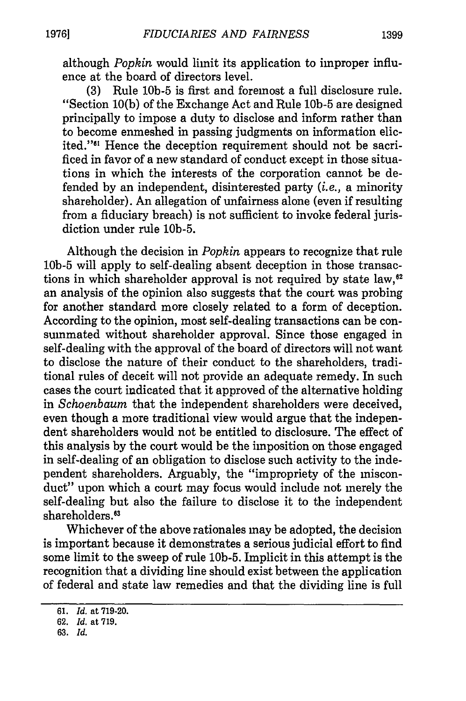although *Popkin* would limit its application to improper influence at the board of directors level.

(3) Rule **10b-5** is first and foremost a full disclosure rule. "Section 10(b) of the Exchange Act and Rule **10b-5** are designed principally to impose a duty to disclose and inform rather than to become enmeshed in passing judgments on information elicited."6' Hence the deception requirement should not be sacrificed in favor of a new standard of conduct except in those situations in which the interests of the corporation cannot be defended by an independent, disinterested party *(i.e.,* a minority shareholder). An allegation of unfairness alone (even if resulting from a fiduciary breach) is not sufficient to invoke federal jurisdiction under rule 10b-5.

Although the decision in *Popkin* appears to recognize that rule **10b-5** will apply to self-dealing absent deception in those transactions in which shareholder approval is not required by state law,<sup>62</sup> an analysis of the opinion also suggests that the court was probing for another standard more closely related to a form of deception. According to the opinion, most self-dealing transactions can be consummated without shareholder approval. Since those engaged in self-dealing with the approval of the board of directors will not want to disclose the nature of their conduct to the shareholders, traditional rules of deceit will not provide an adequate remedy. In such cases the court indicated that it approved of the alternative holding in *Schoenbaum* that the independent shareholders were deceived, even though a more traditional view would argue that the independent shareholders would not be entitled to disclosure. The effect of this analysis by the court would be the imposition on those engaged in self-dealing of an obligation to disclose such activity to the independent shareholders. Arguably, the "impropriety of the misconduct" upon which a court may focus would include not merely the self-dealing but also the failure to disclose it to the independent shareholders.<sup>63</sup>

Whichever of the above rationales may be adopted, the decision is important because it demonstrates a serious judicial effort to find some limit to the sweep of rule 10b-5. Implicit in this attempt is the recognition that a dividing line should exist between the application of federal and state law remedies and that the dividing line is full

<sup>61.</sup> *Id.* at 719-20.

<sup>62.</sup> *Id.* at 719.

<sup>63.</sup> *Id.*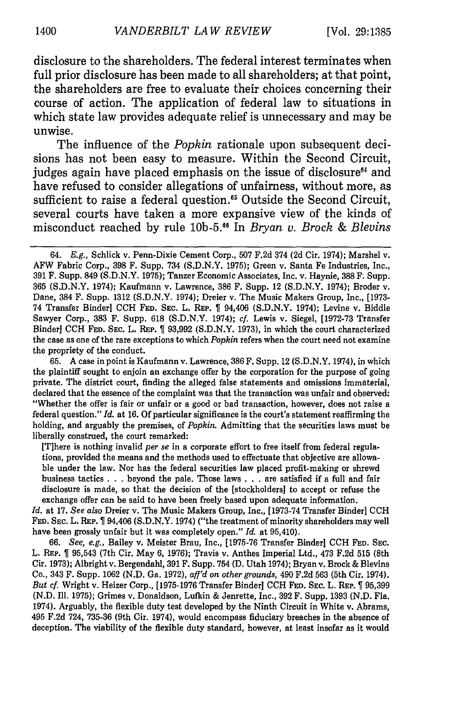disclosure to the shareholders. The federal interest terminates when full prior disclosure has been made to all shareholders; at that point, the shareholders are free to evaluate their choices concerning their course of action. The application of federal law to situations in which state law provides adequate relief is unnecessary and may be unwise.

The influence of the *Popkin* rationale upon subsequent decisions has not been easy to measure. Within the Second Circuit, judges again have placed emphasis on the issue of disclosure<sup>64</sup> and have refused to consider allegations of unfairness, without more, as sufficient to raise a federal question.<sup>65</sup> Outside the Second Circuit, several courts have taken a more expansive view of the kinds of misconduct reached by rule **10b-5.5 1** In *Bryan v. Brock & Blevins*

65. A case in point is Kaufmann v. Lawrence, 386 F. Supp. 12 (S.D.N.Y. 1974), in which the plaintiff sought to enjoin an exchange offer by the corporation for the purpose of going private. The district court, finding the alleged false statements and omissions immaterial, declared that the essence of the complaint was that the transaction was unfair and observed: "Whether the offer is fair or unfair or a good or bad transaction, however, does not raise a federal question." *Id.* at 16. Of particular significance is the court's statement reaffirming the holding, and arguably the premises, of *Popkin.* Admitting that the securities laws must be liberally construed, the court remarked:

[T]here is nothing invalid *per se* in a corporate effort to free itself from federal regulations, provided the means and the methods used to effectuate that objective are allowable under the law. Nor has the federal securities law placed profit-making or shrewd business tactics **. . .** beyond the pale. Those laws **. . .** are satisfied if a full and fair disclosure is made, so that the decision of the [stockholders] to accept or refuse the exchange offer can be said to have been freely based upon adequate information.

*Id.* at 17. *See also* Dreier v. The Music Makers Group, Inc., [1973-74 Transfer Binder] CCH FED. SEC. L. **REP.** T 94,406 (S.D.N.Y. 1974) ("the treatment of minority shareholders may well have been grossly unfair but it was completely open." *Id.* at 95,410).

66. *See, e.g.,* Bailey v. Meister Brau, Inc., [1975-76 Transfer Binder] CCH **FED. SEC.** L. REP. I 95,543 (7th Cir. May 6, 1976); Travis v. Anthes Imperial Ltd., 473 F.2d 515 (8th Cir. 1973); Albright v. Bergendahl, 391 F. Supp. 754 (D. Utah 1974); Bryan v. Brock & Blevins Co., 343 F. Supp. 1062 (N.D. Ga. 1972), *afl'd on other grounds,* 490 F.2d 563 (5th Cir. 1974). *But cf.* Wright v. Heizer Corp., [1975-1976 Transfer Binder] CCH **FED.** SEC. L. REP. T 95,399 (N.D. Ill. 1975); Grimes v. Donaldson, Lufkin & Jenrette, Inc., 392 F. Supp. 1393 (N.D. Fla. 1974). Arguably, the flexible duty test developed by the Ninth Circuit in White v. Abrams, 495 F.2d 724, 735-36 (9th Cir. 1974), would encompass fiduciary breaches in the absence of deception. The viability of the flexible duty standard, however, at least insofar as it would

<sup>64.</sup> E.g., Schlick v. Penn-Dixie Cement Corp., 507 F.2d 374 (2d Cir. 1974); Marshel v. AFW Fabric Corp., 398 F. Supp. 734 (S.D.N.Y. 1975); Green v. Santa Fe Industries, Inc., 391 F. Supp. 849 (S.D.N.Y. 1975); Tanzer Economic Associates, Inc. v. Haynie, **388** F. Supp. 365 (S.D.N.Y. 1974); Kaufmann v. Lawrence, 386 F. Supp. 12 (S.D.N.Y. 1974); Broder v. Dane, 384 F. Supp. 1312 (S.D.N.Y. 1974); Dreier v. The Music Makers Group, Inc., [1973- 74 Transfer Binder] **CCH FED. SEC.** L. **REP.** 94,406 (S.D.N.Y. 1974); Levine v. Biddle Sawyer Corp., 383 F. Supp. 618 (S.D.N.Y. 1974); *cf.* Lewis v. Siegel, [1972-73 Transfer Binder] CCH **FED. SEC.** L. REP. 93,992 (S.D.N.Y. 1973), in which the court characterized the case as one of the rare exceptions to which *Popkin* refers when the court need not examine the propriety of the conduct.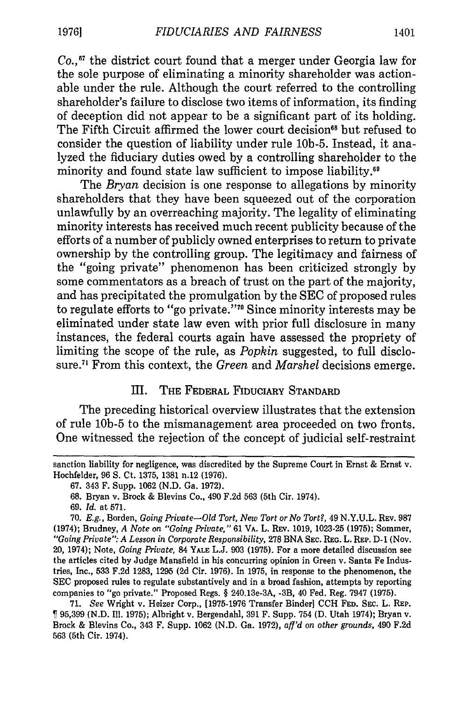*Co.,"7* the district court found that a merger under Georgia law for the sole purpose of eliminating a minority shareholder was actionable under the rule. Although the court referred to the controlling shareholder's failure to disclose two items of information, its finding of deception did not appear to be a significant part of its holding. The Fifth Circuit affirmed the lower court decision<sup>68</sup> but refused to consider the question of liability under rule 10b-5. Instead, it analyzed the fiduciary duties owed by a controlling shareholder to the minority and found state law sufficient to impose liability.<sup>69</sup>

The *Bryan* decision is one response to allegations by minority shareholders that they have been squeezed out of the corporation unlawfully by an overreaching majority. The legality of eliminating minority interests has received much recent publicity because of the efforts of a number of publicly owned enterprises to return to private ownership by the controlling group. The legitimacy and fairness of the "going private" phenomenon has been criticized strongly by some commentators as a breach of trust on the part of the majority, and has precipitated the promulgation by the SEC of proposed rules to regulate efforts to "go private."<sup>70</sup> Since minority interests may be eliminated under state law even with prior full disclosure in many instances, the federal courts again have assessed the propriety of limiting the scope of the rule, as *Popkin* suggested, to full disclosure.<sup>71</sup> From this context, the *Green* and *Marshel* decisions emerge.

# III. THE FEDERAL **FIDUCIARY STANDARD**

The preceding historical overview illustrates that the extension of rule **10b-5** to the mismanagement area proceeded on two fronts. One witnessed the rejection of the concept of judicial self-restraint

**68.** Bryan v. Brock & Blevins Co., 490 **F.2d 563** (5th Cir. 1974).

71. *See* Wright v. Heizer Corp., [1975-1976 Transfer Binder] CCH **FED.** SEC. L. REP. 95,399 (N.D. Ill. 1975); Albright v. Bergendahl, 391 F. Supp. 754 **(D.** Utah 1974); Bryan v. Brock & Blevins Co., 343 F. Supp. 1062 (N.D. Ga. 1972), *aff'd on other grounds,* 490 F.2d **563** (5th Cir. 1974).

sanction liability for negligence, was discredited **by** the Supreme Court in Ernst & Ernst v. Hochfelder, **96 S.** Ct. **1375, 1381** n.12 **(1976).**

**<sup>67.</sup>** 343 F. Supp. **1062 (N.D.** Ga. **1972).**

**<sup>69.</sup>** *Id.* at **571.**

**<sup>70.</sup>** *E.g.,* Borden, *Going Private-Old Tort, New Tort or No Tort?,* 49 **N.Y.U.L. REV. 987** (1974); Brudney, *A Note on "Going Private,"* **61** VA. L. REV. **1019, 1023-25 (1975);** Sommer, *"Going Private": A Lesson in Corporate Responsibility,* 278 BNA **SEC. REG. L. REP. D-1** (Nov. 20, 1974); Note, *Going Private,* 84 **YALE L.J. 903 (1975).** For a more detailed discussion see the articles cited by Judge Mansfield in his concurring opinion in Green v. Santa Fe Industries, Inc., 533 F.2d 1283, 1295 (2d Cir. 1976). In 1975, in response to the phenomenon, the SEC proposed rules to regulate substantively and in a broad fashion, attempts by reporting companies to "go private." Proposed Regs. § 240.13e-3A, -3B, 40 Fed. Reg. 7947 (1975).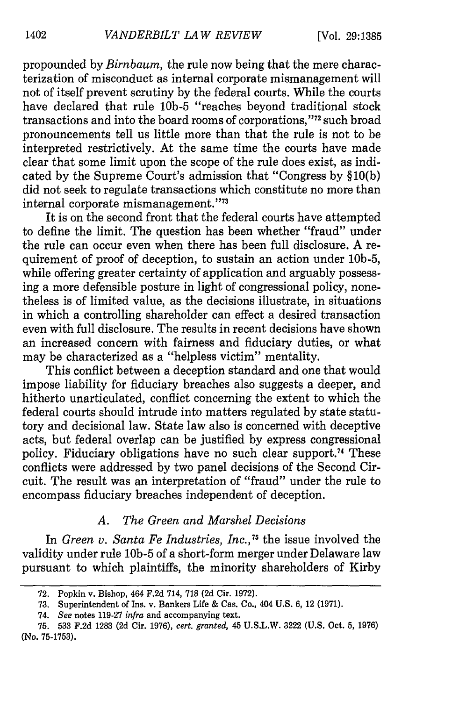propounded by *Birnbaum,* the rule now being that the mere characterization of misconduct as internal corporate mismanagement will not of itself prevent scrutiny by the federal courts. While the courts have declared that rule **10b-5** "reaches beyond traditional stock transactions and into the board rooms of corporations,"<sup>72</sup> such broad pronouncements tell us little more than that the rule is not to be interpreted restrictively. At the same time the courts have made clear that some limit upon the scope of the rule does exist, as indicated by the Supreme Court's admission that "Congress by §10(b) did not seek to regulate transactions which constitute no more than internal corporate mismanagement."<sup>73</sup>

It is on the second front that the federal courts have attempted to define the limit. The question has been whether "fraud" under the rule can occur even when there has been full disclosure. A requirement of proof of deception, to sustain an action under 10b-5, while offering greater certainty of application and arguably possessing a more defensible posture in light of congressional policy, nonetheless is of limited value, as the decisions illustrate, in situations in which a controlling shareholder can effect a desired transaction even with full disclosure. The results in recent decisions have shown an increased concern with fairness and fiduciary duties, or what may be characterized as a "helpless victim" mentality.

This conflict between a deception standard and one that would impose liability for fiduciary breaches also suggests a deeper, and hitherto unarticulated, conflict concerning the extent to which the federal courts should intrude into matters regulated by state statutory and decisional law. State law also is concerned with deceptive acts, but federal overlap can be justified by express congressional policy. Fiduciary obligations have no such clear support.<sup> $4$ </sup> These conflicts were addressed by two panel decisions of the Second Circuit. The result was an interpretation of "fraud" under the rule to encompass fiduciary breaches independent of deception.

## *A. The Green and Marshel Decisions*

In *Green v. Santa Fe Industries, Inc.*,<sup>75</sup> the issue involved the validity under rule **10b-5** of a short-form merger under Delaware law pursuant to which plaintiffs, the minority shareholders of Kirby

<sup>72.</sup> Popkin v. Bishop, 464 F.2d 714, 718 (2d Cir. 1972).

**<sup>73.</sup>** Superintendent of Ins. v. Bankers Life & Cas. Co., 404 **U.S.** 6, 12 **(1971).**

<sup>74.</sup> *See* notes 119-27 *infra* and accompanying text.

<sup>75.</sup> **533** F.2d 1283 (2d Cir. 1976), *cert. granted,* 45 U.S.L.W. 3222 (U.S. Oct. 5, 1976) (No. 75-1753).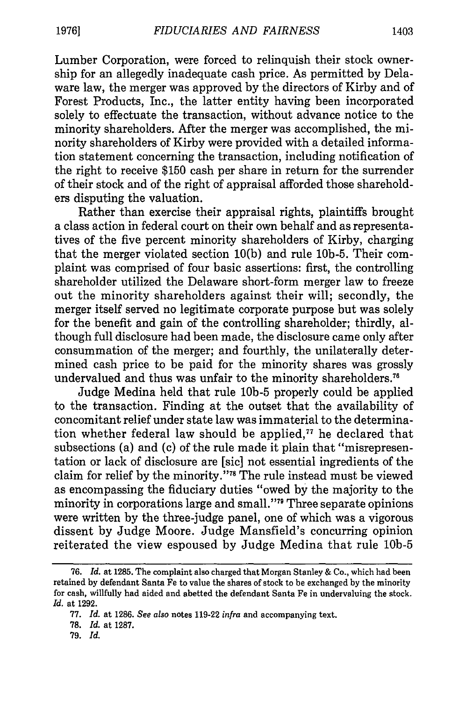Lumber Corporation, were forced to relinquish their stock ownership for an allegedly inadequate cash price. As permitted by Delaware law, the merger was approved by the directors of Kirby and of Forest Products, Inc., the latter entity having been incorporated solely to effectuate the transaction, without advance notice to the minority shareholders. After the merger was accomplished, the minority shareholders of Kirby were provided with a detailed information statement concerning the transaction, including notification of the right to receive \$150 cash per share in return for the surrender of their stock and of the right of appraisal afforded those shareholders disputing the valuation.

Rather than exercise their appraisal rights, plaintiffs brought a class action in federal court on their own behalf and as representatives of the five percent minority shareholders of Kirby, charging that the merger violated section 10(b) and rule 10b-5. Their complaint was comprised of four basic assertions: first, the controlling shareholder utilized the Delaware short-form merger law to freeze out the minority shareholders against their will; secondly, the merger itself served no legitimate corporate purpose but was solely for the benefit and gain of the controlling shareholder; thirdly, although full disclosure had been made, the disclosure came only after consummation of the merger; and fourthly, the unilaterally determined cash price to be paid for the minority shares was grossly undervalued and thus was unfair to the minority shareholders.<sup>76</sup>

Judge Medina held that rule **10b-5** properly could be applied to the transaction. Finding at the outset that the availability of concomitant relief under state law was immaterial to the determination whether federal law should be applied, $77$  he declared that subsections (a) and (c) of the rule made it plain that "misrepresentation or lack of disclosure are [sic] not essential ingredients of the claim for relief by the minority."<sup>78</sup> The rule instead must be viewed as encompassing the fiduciary duties "owed by the majority to the minority in corporations large and small."<sup>79</sup> Three separate opinions were written by the three-judge panel, one of which was a vigorous dissent by Judge Moore. Judge Mansfield's concurring opinion reiterated the view espoused by Judge Medina that rule **10b-5**

79. *Id.*

<sup>76.</sup> *Id.* at 1285. The complaint also charged that Morgan Stanley & Co., which had been retained **by** defendant Santa Fe to value the shares of stock to be exchanged by the minority for cash, willfully had aided and abetted the defendant Santa Fe in undervaluing the stock. *Id.* at 1292.

<sup>77.</sup> *Id.* at 1286. *See also* notes 119-22 *infra* and accompanying text.

<sup>78.</sup> *Id.* at 1287.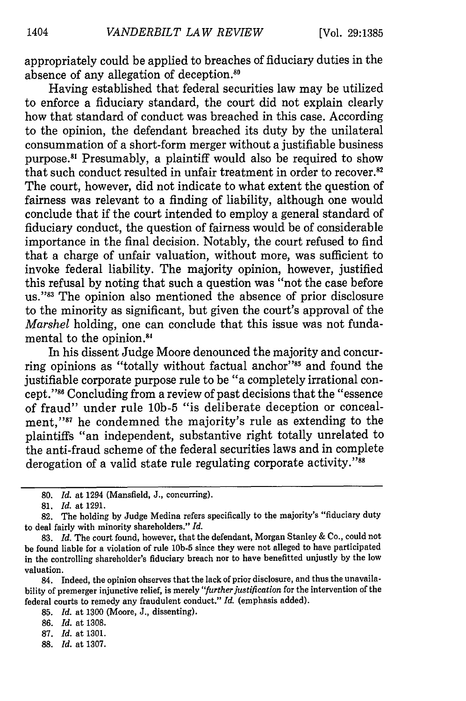appropriately could be applied to breaches of fiduciary duties in the absence of any allegation of deception.<sup>80</sup>

Having established that federal securities law may be utilized to enforce a fiduciary standard, the court did not explain clearly how that standard of conduct was breached in this case. According to the opinion, the defendant breached its duty by the unilateral consummation of a short-form merger without a justifiable business purpose.<sup>81</sup> Presumably, a plaintiff would also be required to show that such conduct resulted in unfair treatment in order to recover.<sup>82</sup> The court, however, did not indicate to what extent the question of fairness was relevant to a finding of liability, although one would conclude that if the court intended to employ a general standard of fiduciary conduct, the question of fairness would be of considerable importance in the final decision. Notably, the court refused to find that a charge of unfair valuation, without more, was sufficient to invoke federal liability. The majority opinion, however, justified this refusal by noting that such a question was "not the case before us."<sup>83</sup> The opinion also mentioned the absence of prior disclosure to the minority as significant, but given the court's approval of the *Marshel* holding, one can conclude that this issue was not fundamental to the opinion.<sup>84</sup>

In his dissent Judge Moore denounced the majority and concurring opinions as "totally without factual anchor"<sup>85</sup> and found the justifiable corporate purpose rule to be "a completely irrational concept."8' Concluding from a review of past decisions that the "essence of fraud" under rule **10b-5** "is deliberate deception or concealment,"<sup>87</sup> he condemned the majority's rule as extending to the plaintiffs "an independent, substantive right totally unrelated to the anti-fraud scheme of the federal securities laws and in complete derogation of a valid state rule regulating corporate activity."<sup>88</sup>

88. *Id.* at 1307.

**<sup>80.</sup>** *Id.* at 1294 (Mansfield, J., concurring).

**<sup>81.</sup>** *Id.* at 1291.

<sup>82.</sup> The holding by Judge Medina refers specifically to the majority's "fiduciary duty to deal fairly with minority shareholders." *Id.*

<sup>83.</sup> *Id.* The court found, however, that the defendant, Morgan Stanley & Co., could not be found liable for a violation of rule **10b-5** since they were not alleged to have participated in the controlling shareholder's fiduciary breach nor to have benefitted unjustly by the low valuation.

<sup>84.</sup> Indeed, the opinion observes that the lack of prior disclosure, and thus the unavailability of premerger injunctive relief, is merely *"further justification* for the intervention of the federal courts to remedy any fraudulent conduct." *Id.* (emphasis added).

<sup>85.</sup> *Id.* at 1300 (Moore, J., dissenting).

<sup>86.</sup> *Id.* at 1308.

<sup>87.</sup> *Id.* at 1301.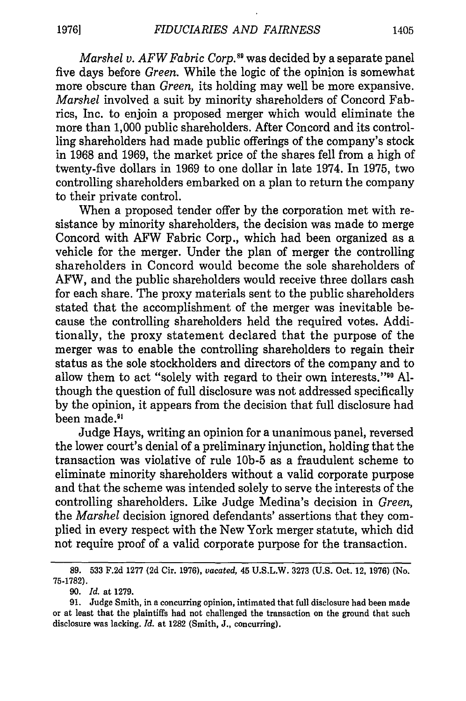*Marshel v. AFW Fabric Corp.*<sup>89</sup> was decided by a separate panel five days before *Green.* While the logic of the opinion is somewhat more obscure than *Green,* its holding may well be more expansive. *Marshel* involved a suit by minority shareholders of Concord Fabrics, Inc. to enjoin a proposed merger which would eliminate the more than 1,000 public shareholders. After Concord and its controlling shareholders had made public offerings of the company's stock in 1968 and 1969, the market price of the shares fell from a high of twenty-five dollars in 1969 to one dollar in late 1974. In 1975, two controlling shareholders embarked on a plan to return the company to their private control.

When a proposed tender offer by the corporation met with resistance by minority shareholders, the decision was made to merge Concord with AFW Fabric Corp., which had been organized as a vehicle for the merger. Under the plan of merger the controlling shareholders in Concord would become the sole shareholders of AFW, and the public shareholders would receive three dollars cash for each share. The proxy materials sent to the public shareholders stated that the accomplishment of the merger was inevitable because the controlling shareholders held the required votes. Additionally, the proxy statement declared that the purpose of the merger was to enable the controlling shareholders to regain their status as the sole stockholders and directors of the company and to allow them to act "solely with regard to their own interests."<sup>90</sup> Although the question of full disclosure was not addressed specifically by the opinion, it appears from the decision that full disclosure had been made.<sup>91</sup>

Judge Hays, writing an opinion for a unanimous panel, reversed the lower court's denial of a preliminary injunction, holding that the transaction was violative of rule **10b-5** as a fraudulent scheme to eliminate minority shareholders without a valid corporate purpose and that the scheme was intended solely to serve the interests of the controlling shareholders. Like Judge Medina's decision in *Green,* the *Marshel* decision ignored defendants' assertions that they complied in every respect with the New York merger statute, which did not require proof of a valid corporate purpose for the transaction.

**<sup>89.</sup>** 533 F.2d 1277 (2d Cir. 1976), *vacated,* 45 U.S.L.W. 3273 (U.S. Oct. 12, 1976) (No. 75-1782).

<sup>90.</sup> *Id.* at 1279.

<sup>91.</sup> Judge Smith, in a concurring opinion, intimated that full disclosure had been made or at least that the plaintiffs had not challenged the transaction on the ground that such disclosure was lacking. *Id.* at 1282 (Smith, J., concurring).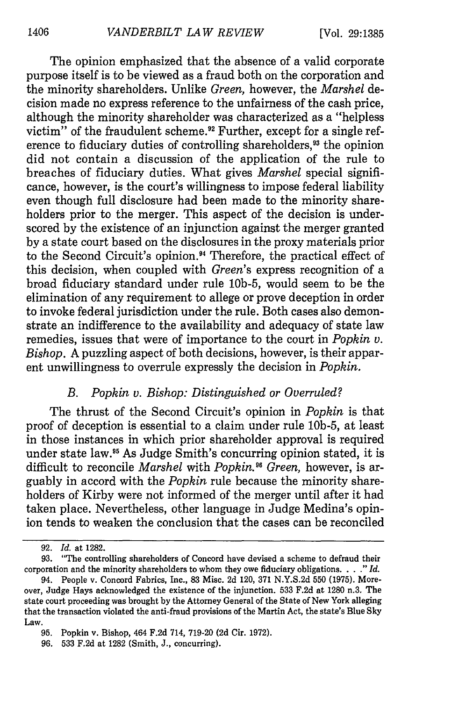The opinion emphasized that the absence of a valid corporate purpose itself is to be viewed as a fraud both on the corporation and the minority shareholders. Unlike *Green,* however, the *Marshel* decision made no express reference to the unfairness of the cash price, although the minority shareholder was characterized as a "helpless victim" of the fraudulent scheme.<sup>92</sup> Further, except for a single reference to fiduciary duties of controlling shareholders,<sup>93</sup> the opinion did not contain a discussion of the application of the rule to breaches of fiduciary duties. What gives *Marshel* special significance, however, is the court's willingness to impose federal liability even though full disclosure had been made to the minority shareholders prior to the merger. This aspect of the decision is underscored by the existence of an injunction against the merger granted by a state court based on the disclosures in the proxy materials prior to the Second Circuit's opinion.<sup>94</sup> Therefore, the practical effect of this decision, when coupled with *Green's* express recognition of a broad fiduciary standard under rule 10b-5, would seem to be the elimination of any requirement to allege or prove deception in order to invoke federal jurisdiction under the rule. Both cases also demonstrate an indifference to the availability and adequacy of state law remedies, issues that were of importance to the court in *Popkin v. Bishop.* A puzzling aspect of both decisions, however, is their apparent unwillingness to overrule expressly the decision in *Popkin.*

#### *B. Popkin v. Bishop: Distinguished or Overruled?*

The thrust of the Second Circuit's opinion in *Popkin* is that proof of deception is essential to a claim under rule 10b-5, at least in those instances in which prior shareholder approval is required under state law.<sup>95</sup> As Judge Smith's concurring opinion stated, it is difficult to reconcile *Marshel* with *Popkin.95 Green,* however, is arguably in accord with the *Popkin* rule because the minority shareholders of Kirby were not informed of the merger until after it had taken place. Nevertheless, other language in Judge Medina's opinion tends to weaken the conclusion that the cases can be reconciled

<sup>92.</sup> *Id.* at 1282.

<sup>93. &</sup>quot;The controlling shareholders of Concord have devised a scheme to defraud their corporation and the minority shareholders to whom they owe fiduciary obligations. . . " *Id.*

<sup>94.</sup> People v. Concord Fabrics, Inc., 83 Misc. 2d 120, 371 N.Y.S.2d 550 (1975). Moreover, Judge Hays acknowledged the existence of the injunction. 533 F.2d at 1280 n.3. The state court proceeding was brought by the Attorney General of the State of New York alleging that the transaction violated the anti-fraud provisions of the Martin Act, the state's Blue Sky Law.

<sup>95.</sup> Popkin v. Bishop, 464 F.2d 714, 719-20 (2d Cir. 1972).

<sup>96. 533</sup> F.2d at 1282 (Smith, J., concurring).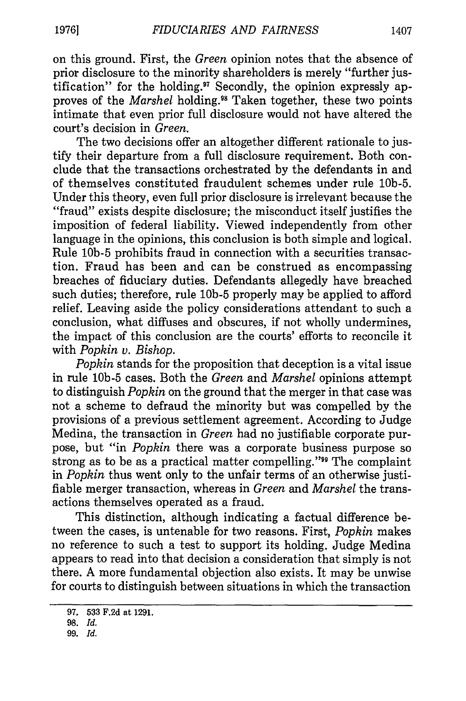on this ground. First, the *Green* opinion notes that the absence of prior disclosure to the minority shareholders is merely "further justification" for the holding." Secondly, the opinion expressly approves of the *Marshel* holding.<sup>98</sup> Taken together, these two points intimate that even prior full disclosure would not have altered the court's decision in *Green.*

The two decisions offer an altogether different rationale to justify their departure from a full disclosure requirement. Both conclude that the transactions orchestrated by the defendants in and of themselves constituted fraudulent schemes under rule 10b-5. Under this theory, even full prior disclosure is irrelevant because the "fraud" exists despite disclosure; the misconduct itself justifies the imposition of federal liability. Viewed independently from other language in the opinions, this conclusion is both simple and logical. Rule **10b-5** prohibits fraud in connection with a securities transaction. Fraud has been and can be construed as encompassing breaches of fiduciary duties. Defendants allegedly have breached such duties; therefore, rule **10b-5** properly may be applied to afford relief. Leaving aside the policy considerations attendant to such a conclusion, what diffuses and obscures, if not wholly undermines, the impact of this conclusion are the courts' efforts to reconcile it with *Popkin v. Bishop.*

*Popkin* stands for the proposition that deception is a vital issue in rule **10b-5** cases. Both the *Green* and *Marshel* opinions attempt to distinguish *Popkin* on the ground that the merger in that case was not a scheme to defraud the minority but was compelled by the provisions of a previous settlement agreement. According to Judge Medina, the transaction in *Green* had no justifiable corporate purpose, but "in *Popkin* there was a corporate business purpose so strong as to be as a practical matter compelling.""9 The complaint in *Popkin* thus went only to the unfair terms of an otherwise justifiable merger transaction, whereas in *Green* and *Marshel* the transactions themselves operated as a fraud.

This distinction, although indicating a factual difference between the cases, is untenable for two reasons. First, *Popkin* makes no reference to such a test to support its holding. Judge Medina appears to read into that decision a consideration that simply is not there. A more fundamental objection also exists. It may be unwise for courts to distinguish between situations in which the transaction

<sup>97. 533</sup> F.2d at 1291.

<sup>98.</sup> *Id.*

<sup>99.</sup> *Id.*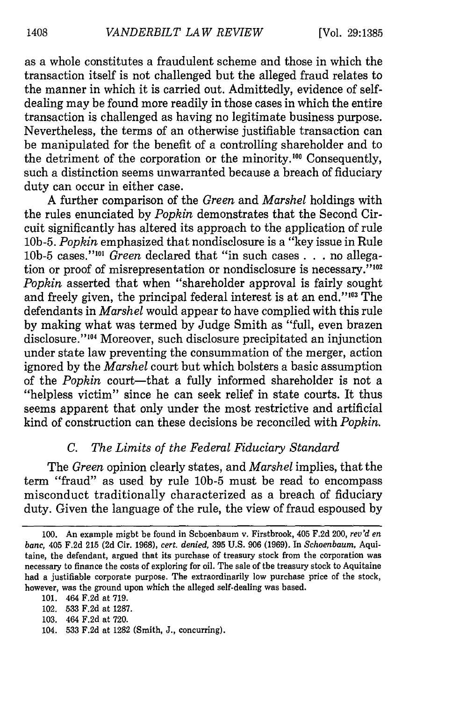as a whole constitutes a fraudulent scheme and those in which the transaction itself is not challenged but the alleged fraud relates to the manner in which it is carried out. Admittedly, evidence of selfdealing may be found more readily in those cases in which the entire transaction is challenged as having no legitimate business purpose. Nevertheless, the terms of an otherwise justifiable transaction can be manipulated for the benefit of a controlling shareholder and to the detriment of the corporation or the minority.<sup>100</sup> Consequently, such a distinction seems unwarranted because a breach of fiduciary duty can occur in either case.

A further comparison of the *Green* and *Marshel* holdings with the rules enunciated by *Popkin* demonstrates that the Second Circuit significantly has altered its approach to the application of rule 10b-5. *Popkin* emphasized that nondisclosure is a "key issue in Rule **10b-5** cases."' <sup>01</sup>*Green* declared that "in such cases **. . .** no allegation or proof of misrepresentation or nondisclosure is necessary."<sup>102</sup> *Popkin* asserted that when "shareholder approval is fairly sought and freely given, the principal federal interest is at an end."<sup>103</sup> The defendants in *Marshel* would appear to have complied with this rule by making what was termed by Judge Smith as "full, even brazen disclosure."<sup>104</sup> Moreover, such disclosure precipitated an injunction under state law preventing the consummation of the merger, action ignored by the *Marshel* court but which bolsters a basic assumption of the *Popkin* court-that a fully informed shareholder is not a "helpless victim" since he can seek relief in state courts. It thus seems apparent that only under the most restrictive and artificial kind of construction can these decisions be reconciled with *Popkin.*

# *C. The Limits of the Federal Fiduciary Standard*

The *Green* opinion clearly states, and *Marshel* implies, that the term "fraud" as used by rule **10b-5** must be read to encompass misconduct traditionally characterized as a breach of fiduciary duty. Given the language of the rule, the view of fraud espoused by

<sup>100.</sup> An example might be found in Schoenbaum v. Firstbrook, 405 F.2d 200, *rev'd en banc,* 405 F.2d 215 (2d Cir. 1968), *cert. denied,* 395 U.S. 906 (1969). In *Schoenbaum,* Aquitaine, the defendant, argued that its purchase of treasury stock from the corporation was necessary to finance the costs of exploring for oil. The sale of the treasury stock to Aquitaine had a justifiable corporate purpose. The extraordinarily low purchase price of the stock, however, was the ground upon which the alleged self-dealing was based.

<sup>101. 464</sup> F.2d at 719.

<sup>102. 533</sup> F.2d at 1287.

<sup>103. 464</sup> F.2d at 720.

<sup>104. 533</sup> F.2d at 1282 (Smith, J., concurring).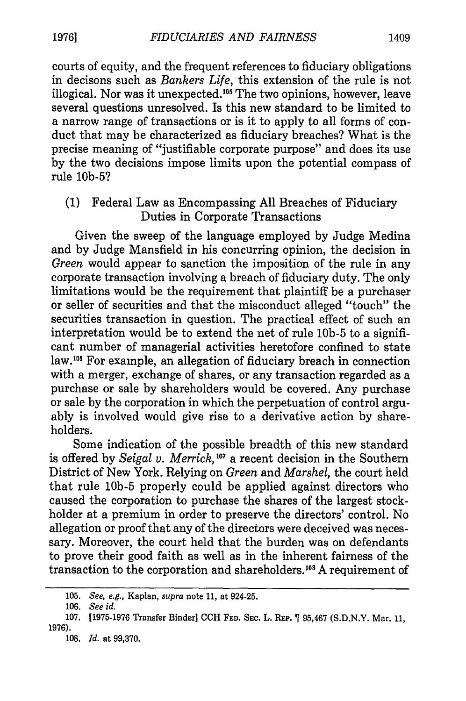courts of equity, and the frequent references to fiduciary obligations in decisons such as *Bankers Life,* this extension of the rule is not illogical. Nor was it unexpected.<sup>105</sup> The two opinions, however, leave several questions unresolved. Is this new standard to be limited to a narrow range of transactions or is it to apply to all forms of conduct that may be characterized as fiduciary breaches? What is the precise meaning of "justifiable corporate purpose" and does its use by the two decisions impose limits upon the potential compass of rule 10b-5?

# (1) Federal Law as Encompassing All Breaches of Fiduciary Duties in Corporate Transactions

Given the sweep of the language employed by Judge Medina and by Judge Mansfield in his concurring opinion, the decision in *Green* would appear to sanction the imposition of the rule in any corporate transaction involving a breach of fiduciary duty. The only limitations would be the requirement that plaintiff be a purchaser or seller of securities and that the misconduct alleged "touch" the securities transaction in question. The practical effect of such an interpretation would be to extend the net of rule **10b-5** to a significant number of managerial activities heretofore confined to state law.<sup>106</sup> For example, an allegation of fiduciary breach in connection with a merger, exchange of shares, or any transaction regarded as a purchase or sale by shareholders would be covered. Any purchase or sale by the corporation in which the perpetuation of control arguably is involved would give rise to a derivative action by shareholders.

Some indication of the possible breadth of this new standard is offered by *Seigal v. Merrick,'07* a recent decision in the Southern District of New York. Relying on *Green* and *Marshel,* the court held that rule **10b-5** properly could be applied against directors who caused the corporation to purchase the shares of the largest stockholder at a premium in order to preserve the directors' control. No allegation or proof that any of the directors were deceived was necessary. Moreover, the court held that the burden was on defendants to prove their good faith as well as in the inherent fairness of the transaction to the corporation and shareholders.<sup>108</sup> A requirement of

<sup>105.</sup> *See, e.g.,* Kaplan, *supra* note 11, at 924-25.

<sup>106.</sup> *See id.*

<sup>107. [1975-1976</sup> Transfer Binder] CCH **FED. SEC.** L. **REP.** 95,467 (S.D.N.Y. Mar. 11, 1976).

<sup>108.</sup> *Id.* at 99,370.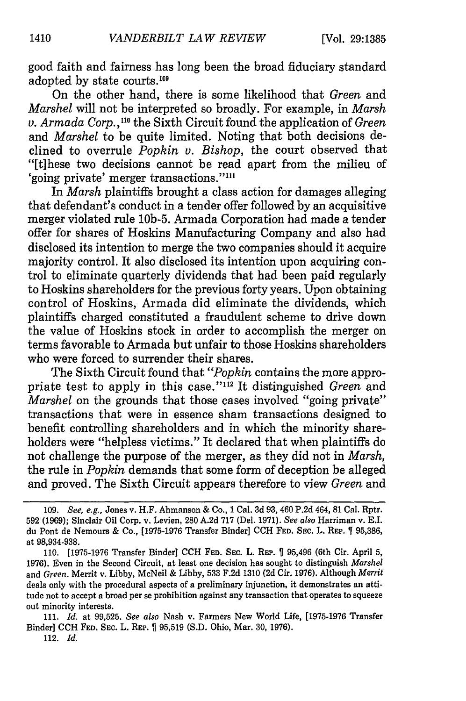good faith and fairness has long been the broad fiduciary standard adopted by state courts.<sup>109</sup>

On the other hand, there is some likelihood that *Green* and *Marshel* will not be interpreted so broadly. For example, in *Marsh v. Armada Corp.,"0* the Sixth Circuit found the application of *Green* and *Marshel* to be quite limited. Noting that both decisions declined to overrule *Popkin v. Bishop,* the court observed that "[t]hese two decisions cannot be read apart from the milieu of 'going private' merger transactions.""'

In *Marsh* plaintiffs brought a class action for damages alleging that defendant's conduct in a tender offer followed by an acquisitive merger violated rule 10b-5. Armada Corporation had made a tender offer for shares of Hoskins Manufacturing Company and also had disclosed its intention to merge the two companies should it acquire majority control. It also disclosed its intention upon acquiring control to eliminate quarterly dividends that had been paid regularly to Hoskins shareholders for the previous forty years. Upon obtaining control of Hoskins, Armada did eliminate the dividends, which plaintiffs charged constituted a fraudulent scheme to drive down the value of Hoskins stock in order to accomplish the merger on terms favorable to Armada but unfair to those Hoskins shareholders who were forced to surrender their shares.

The Sixth Circuit found that *"Popkin* contains the more appropriate test to apply in this case."<sup>112</sup> It distinguished *Green* and *Marshel* on the grounds that those cases involved "going private" transactions that were in essence sham transactions designed to benefit controlling shareholders and in which the minority shareholders were "helpless victims." It declared that when plaintiffs do not challenge the purpose of the merger, as they did not in *Marsh,* the rule in *Popkin* demands that some form of deception be alleged and proved. The Sixth Circuit appears therefore to view *Green* and

<sup>109.</sup> *See, e.g.,* Jones v. H.F. Ahmanson & Co., 1 Cal. 3d 93, 460 P.2d 464, 81 Cal. Rptr. 592 (1969); Sinclair Oil Corp. v. Levien, 280 A.2d 717 (Del. 1971). *See also* Harriman v. E.I. du Pont de Nemours & Co., [1975-1976 Transfer Binder] **CCH FED. SEac.** L. **REP. 95,386,** at 98,934-938.

<sup>110. [1975-1976</sup> Transfer Binder] **CCH FED.** SEC. L. **REP.** 95,496 (6th Cir. April 5, 1976). Even in the Second Circuit, at least one decision has sought to distinguish *Marshel* and *Green.* Merrit v. Libby, McNeil & Libby, 533 F.2d 1310 (2d Cir. 1976). Although *Merrit* deals only with the procedural aspects of a preliminary injunction, **it** demonstrates an attitude not to accept a broad per se prohibition against any transaction that operates to squeeze out minority interests.

<sup>111.</sup> *Id.* at 99,525. *See also* Nash v. Farmers New World Life, [1975-1976 Transfer Binder] CCH **FED.** SEC. L. **REP.** 95,519 **(S.D.** Ohio, Mar. 30, 1976).

<sup>112.</sup> *Id.*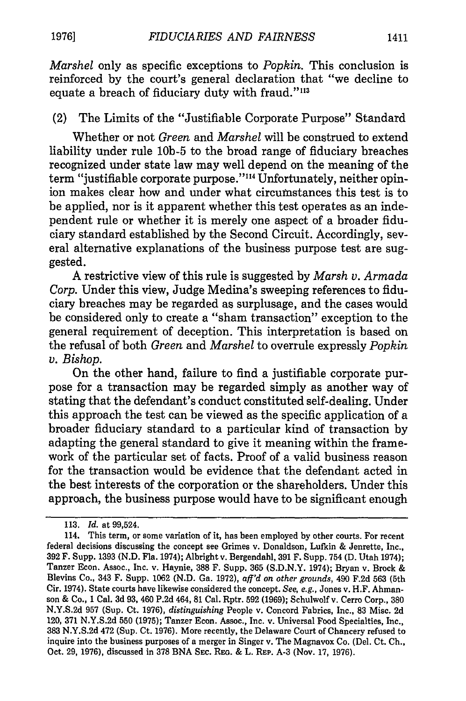*Marshel* only as specific exceptions to *Popkin.* This conclusion is reinforced by the court's general declaration that "we decline to equate a breach of fiduciary duty with fraud."<sup>113</sup>

# (2) The Limits of the "Justifiable Corporate Purpose" Standard

Whether or not *Green* and *Marshel* will be construed to extend liability under rule **10b-5** to the broad range of fiduciary breaches recognized under state law may well depend on the meaning of the term "justifiable corporate purpose."<sup>114</sup> Unfortunately, neither opinion makes clear how and under what circumstances this test is to be applied, nor is it apparent whether this test operates as an independent rule or whether it is merely one aspect of a broader fiduciary standard established by the Second Circuit. Accordingly, several alternative explanations of the business purpose test are suggested.

A restrictive view of this rule is suggested by *Marsh v. Armada Corp.* Under this view, Judge Medina's sweeping references to fiduciary breaches may be regarded as surplusage, and the cases would be considered only to create a "sham transaction" exception to the general requirement of deception. This interpretation is based on the refusal of both *Green* and *Marshel* to overrule expressly *Popkin v. Bishop.*

On the other hand, failure to find a justifiable corporate purpose for a transaction may be regarded simply as another way of stating that the defendant's conduct constituted self-dealing. Under this approach the test can be viewed as the specific application of a broader fiduciary standard to a particular kind of transaction by adapting the general standard to give it meaning within the framework of the particular set of facts. Proof of a valid business reason for the transaction would be evidence that the defendant acted in the best interests of the corporation or the shareholders. Under this approach, the business purpose would have to be significant enough

<sup>113.</sup> *Id.* at 99,524.

<sup>114.</sup> This term, or some variation of it, has been employed by other courts. For recent federal decisions discussing the concept see Grimes v. Donaldson, Lufkin & Jenrette, Inc., 392 F. Supp. 1393 (N.D. Fla. 1974); Albright v. Bergendahl, 391 F. Supp. 754 **(D.** Utah 1974); Tanzer Econ. Assoc., Inc. v. Haynie, 388 F. Supp. 365 (S.D.N.Y. 1974); Bryan v. Brock & Blevins Co., 343 F. Supp. 1062 (N.D. Ga. 1972), *aff'd on other grounds,* 490 F.2d 563 (5th Cir. 1974). State courts have likewise considered the concept. *See, e.g.,* Jones v. H.F. Abmanson & Co., 1 Cal. 3d 93, 460 P.2d 464, **81** Cal. Rptr. 592 (1969); Schulwolf v. Cerro Corp., 380 N.Y.S.2d 957 (Sup. Ct. 1976), *distinguishing* People v. Concord Fabrics, Inc., 83 Misc. 2d 120, 371 N.Y.S.2d 550 (1975); Tanzer Econ. Assoc., Inc. v. Universal Food Specialties, Inc., **383** N.Y.S.2d 472 (Sup. Ct. 1976). More recently, the Delaware Court of Chancery refused to inquire into the business purposes of a merger in Singer v. The Magnavox Co. (Del. Ct. Ch., Oct. 29, 1976), discussed in 378 BNA **SEC.** REG. & L. REP. A-3 (Nov. 17, 1976).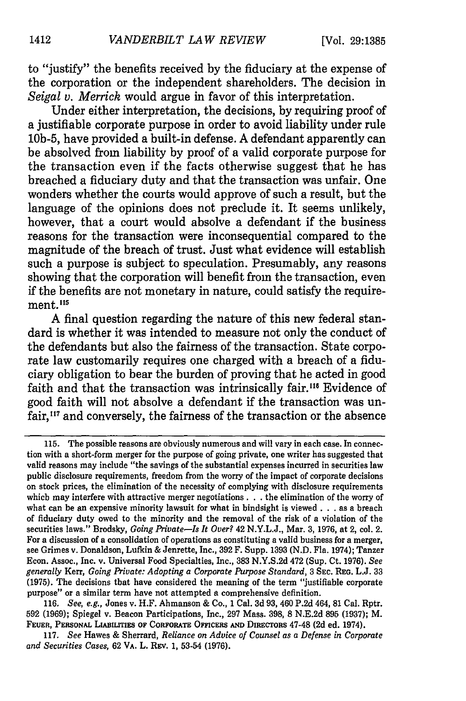to "justify" the benefits received **by** the fiduciary at the expense of the corporation or the independent shareholders. The decision in *Seigal v. Merrick* would argue in favor of this interpretation.

Under either interpretation, the decisions, **by** requiring proof of a justifiable corporate purpose in order to avoid liability under rule **10b-5,** have provided a built-in defense. **A** defendant apparently can be absolved from liability **by** proof of a valid corporate purpose for the transaction even if the facts otherwise suggest that he has breached a fiduciary duty and that the transaction was unfair. One wonders whether the courts would approve of such a result, but the language of the opinions does not preclude it. It seems unlikely, however, that a court would absolve a defendant if the business reasons for the transaction were inconsequential compared to the magnitude of the breach of trust. Just what evidence will establish such a purpose is subject to speculation. Presumably, any reasons showing that the corporation will benefit from the transaction, even if the benefits are not monetary in nature, could satisfy the requirement.<sup>115</sup>

**A** final question regarding the nature of this new federal standard is whether it was intended to measure not only the conduct of the defendants but also the fairness of the transaction. State corporate law customarily requires one charged with a breach of a fiduciary obligation to bear the burden of proving that he acted in good faith and that the transaction was intrinsically fair.<sup>116</sup> Evidence of good faith will not absolve a defendant if the transaction was unfair,<sup>117</sup> and conversely, the fairness of the transaction or the absence

**<sup>115.</sup>** The possible reasons are obviously numerous and will vary in each case. In connection with a short-form merger for the purpose of going private, one writer has suggested that valid reasons may include "the savings of the substantial expenses incurred in securities law public disclosure requirements, freedom from the worry of the impact of corporate decisions on stock prices, the elimination of the necessity of complying with disclosure requirements which may interfere with attractive merger negotiations. **. .** the elimination of the worry of what can be an expensive minority lawsuit for what in hindsight is viewed **. . .** as a breach of fiduciary duty owed to the minority and the removal of the risk of a violation of the securities laws." Brodsky, *Going Private-Is It Over?* **42 N.Y.L.J.,** Mar. **3, 1976,** at 2, col. 2. For a discussion of a consolidation of operations as constituting a valid business for a merger, see Grimes v. Donaldson, Lufkin **&** Jenrette, Inc., **392** F. Supp. **1393 (N.D.** Fla. 1974); Tanzer Econ. Assoc., Inc. v. Universal Food Specialties, Inc., **383 N.Y.S.2d** 472 (Sup. Ct. **1976).** *See generally* **Kerr,** *Going Private: Adopting a Corporate Purpose Standard,* **3 SEC. REG. L.J. 33 (1975).** The decisions that have considered the meaning of the term "justifiable corporate purpose" or a similar term have not attempted a comprehensive definition.

**<sup>116.</sup>** *See, e.g.,* Jones v. H.F. Ahmanson **&** Co., **1** Cal. **3d 93, 460 P.2d** 464, **81** Cal. Rptr. **592 (1969);** Spiegel v. Beacon Participations, Inc., **297** Mass. **398, 8 N.E.2d 895 (1937);** M. **FEUER, PERSONAL LiAmLrITES oF CORPORATE OFFICERS AND DIRECTORS** 47-48 **(2d** ed. 1974).

**<sup>117.</sup>** *See* **Hawes & Sherrard,** *Reliance on Advice of Counsel as a Defense in Corporate and Securities Cases,* **62 VA. L. REv. 1, 53-54 (1976).**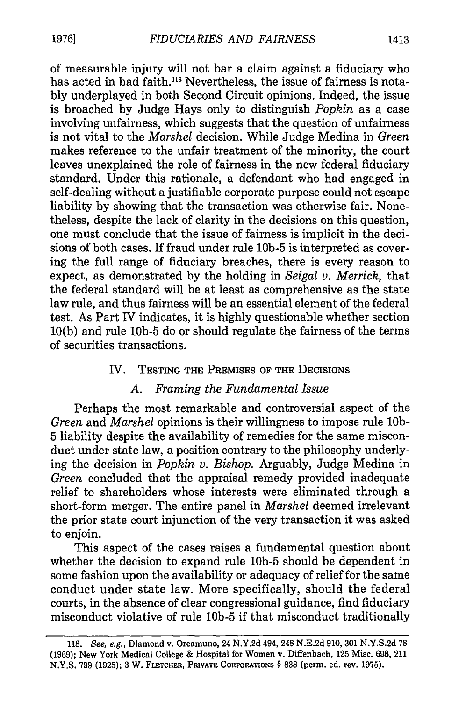of measurable injury will not bar a claim against a fiduciary who has acted in bad faith.<sup>118</sup> Nevertheless, the issue of fairness is notably underplayed in both Second Circuit opinions. Indeed, the issue is broached by Judge Hays only to distinguish *Popkin* as a case involving unfairness, which suggests that the question of unfairness is not vital to the *Marshel* decision. While Judge Medina in *Green* makes reference to the unfair treatment of the minority, the court leaves unexplained the role of fairness in the new federal fiduciary standard. Under this rationale, a defendant who had engaged in self-dealing without a justifiable corporate purpose could not escape liability by showing that the transaction was otherwise fair. Nonetheless, despite the lack of clarity in the decisions on this question, one must conclude that the issue of fairness is implicit in the decisions of both cases. If fraud under rule **10b-5** is interpreted as covering the full range of fiduciary breaches, there is every reason to expect, as demonstrated by the holding in *Seigal v. Merrick,* that the federal standard will be at least as comprehensive as the state law rule, and thus fairness will be an essential element of the federal test. As Part IV indicates, it is highly questionable whether section 10(b) and rule **10b-5** do or should regulate the fairness of the terms of securities transactions.

### IV. TESTING THE PREMISES **OF** THE DECISIONS

### *A. Framing the Fundamental Issue*

Perhaps the most remarkable and controversial aspect of the *Green* and *Marshel* opinions is their willingness to impose rule **10b-**5 liability despite the availability of remedies for the same misconduct under state law, a position contrary to the philosophy underlying the decision in *Popkin v. Bishop.* Arguably, Judge Medina in *Green* concluded that the appraisal remedy provided inadequate relief to shareholders whose interests were eliminated through a short-form merger. The entire panel in *Marshel* deemed irrelevant the prior state court injunction of the very transaction it was asked to enjoin.

This aspect of the cases raises a fundamental question about whether the decision to expand rule **10b-5** should be dependent in some fashion upon the availability or adequacy of relief for the same conduct under state law. More specifically, should the federal courts, in the absence of clear congressional guidance, find fiduciary misconduct violative of rule **10b-5** if that misconduct traditionally

<sup>118.</sup> See, e.g., Diamond v. Oreamuno, 24 N.Y.2d 494, 248 N.E.2d 910, 301 N.Y.S.2d 78 (1969); New York Medical College & Hospital for Women v. Diffenbach, 125 Misc. 698, 211 **N.Y.S. 799 (1925); 3** W. FLETCHER, PRIVATE CORPORATIONS § **838** (perm. **ed.** rev. **1975).**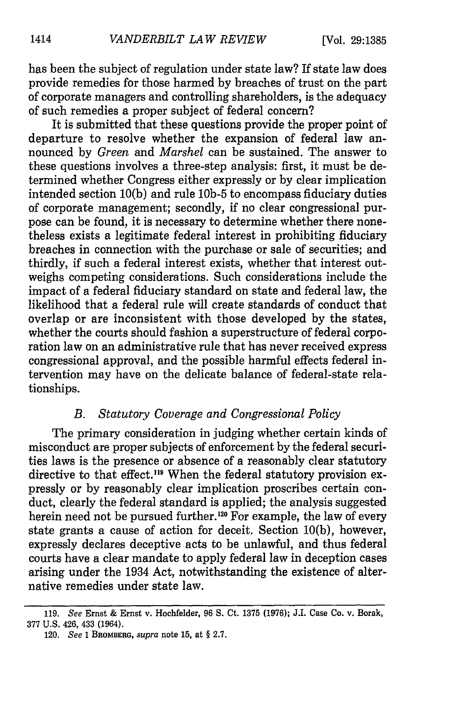has been the subject of regulation under state law? If state law does provide remedies for those harmed by breaches of trust on the part of corporate managers and controlling shareholders, is the adequacy of such remedies a proper subject of federal concern?

It is submitted that these questions provide the proper point of departure to resolve whether the expansion of federal law announced by *Green and Marshel* can be sustained. The answer to these questions involves a three-step analysis: first, it must be determined whether Congress either expressly or by clear implication intended section 10(b) and rule **10b-5** to encompass fiduciary duties of corporate management; secondly, if no clear congressional purpose can be found, it is necessary to determine whether there nonetheless exists a legitimate federal interest in prohibiting fiduciary breaches in connection with the purchase or sale of securities; and thirdly, if such a federal interest exists, whether that interest outweighs competing considerations. Such considerations include the impact of a federal fiduciary standard on state and federal law, the likelihood that a federal rule will create standards of conduct that overlap or are inconsistent with those developed by the states, whether the courts should fashion a superstructure of federal corporation law on an administrative rule that has never received express congressional approval, and the possible harmful effects federal intervention may have on the delicate balance of federal-state relationships.

# *B. Statutory Coverage and Congressional Policy*

The primary consideration in judging whether certain kinds of misconduct are proper subjects of enforcement by the federal securities laws is the presence or absence of a reasonably clear statutory directive to that effect.<sup>119</sup> When the federal statutory provision expressly or by reasonably clear implication proscribes certain conduct, clearly the federal standard is applied; the analysis suggested herein need not be pursued further.<sup>120</sup> For example, the law of every state grants a cause of action for deceit. Section 10(b), however, expressly declares deceptive acts to be unlawful, and thus federal courts have a clear mandate to apply federal law in deception cases arising under the 1934 Act, notwithstanding the existence of alternative remedies under state law.

<sup>119.</sup> *See* Ernst & Ernst v. Hochfelder, 96 S. Ct. 1375 (1976); J.I. Case Co. v. Borak, 377 U.S. 426, 433 (1964).

<sup>120.</sup> *See* 1 **BROMBERG,** *supra* note 15, at § 2.7.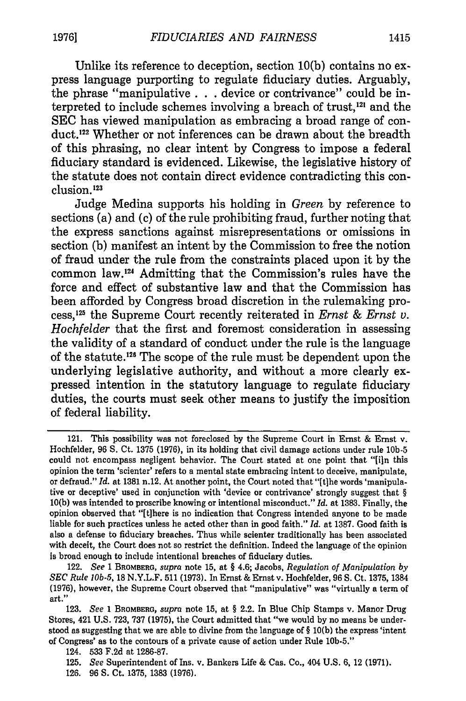Unlike its reference to deception, section **10(b)** contains no express language purporting to regulate fiduciary duties. Arguably, the phrase "manipulative **. . .** device or contrivance" could be interpreted to include schemes involving a breach of trust, $^{121}$  and the **SEC** has viewed manipulation as embracing a broad range of conduct.<sup>122</sup> Whether or not inferences can be drawn about the breadth of this phrasing, no clear intent **by** Congress to impose a federal fiduciary standard is evidenced. Likewise, the legislative history of the statute does not contain direct evidence contradicting this conclusion.<sup>123</sup>

Judge Medina supports his holding in *Green* **by** reference to sections (a) and (c) of the rule prohibiting fraud, further noting that the express sanctions against misrepresentations or omissions in section **(b)** manifest an intent **by** the Commission to free the notion of fraud under the rule from the constraints placed upon it **by** the common law.<sup>124</sup> Admitting that the Commission's rules have the force and effect of substantive law and that the Commission has been afforded **by** Congress broad discretion in the rulemaking process,'12 the Supreme Court recently reiterated in *Ernst & Ernst v. Hochfelder* that the first and foremost consideration in assessing the validity of a standard of conduct under the rule is the language of the statute. 26 The scope of the rule must be dependent upon the underlying legislative authority, and without a more clearly expressed intention in the statutory language to regulate fiduciary duties, the courts must seek other means to justify the imposition of federal liability.

<sup>121.</sup> This possibility was not foreclosed **by** the Supreme Court in Ernst **&** Ernst v. Hochfelder, **96 S.** Ct. **1375 (1976),** in its holding that civil damage actions under rule **10b-5** could not encompass negligent behavior. The Court stated at one point that **"[in** this opinion the term 'scienter' refers to a mental state embracing intent to deceive, manipulate, or defraud." *Id.* at **1381** n.12. At another point, the Court noted that "[tjhe words 'manipulative or deceptive' used in conjunction with 'device or contrivance' strongly suggest that **§ 10(b)** was intended to proscribe knowing or intentional misconduct." *Id.* at **1383.** Finally, the opinion observed that "[t]here is no indication that Congress intended anyone to be made liable for such practices unless he acted other than in good faith." *Id.* at **1387.** Good faith is **also a defense** to fiduciary breaches. Thus while scienter traditionally has been associated with deceit, the Court does not so restrict the definition. Indeed the language of the opinion is broad enough to include intentional breaches of fiduciary duties.

<sup>122.</sup> *See* **1 BROMBERG,** *supra* note **15,** at **§** 4.6; Jacobs, *Regulation of Manipulation by SEC Rule I0b-5,* **18** N.Y.L.F. **511 (1973).** In Ernst **&** Ernst v. Hochfelder, **96 S.** Ct. **1375, 1384 (1976),** however, the Supreme Court observed that "manipulative" was "virtually a term of art."

**<sup>123.</sup>** *See* **1 BROMBERG,** *supra* note **15,** at **§** 2.2. In Blue Chip Stamps v. Manor Drug Stores, 421 **U.S. 723, 737 (1975),** the Court admitted that "we would **by** no means be understood as suggesting that we are able to divine from the language of **§ 10(b)** the express 'intent of Congress' as to the contours of a private cause of action under Rule **10b-5."**

<sup>124.</sup> **533 F.2d** at **1286-87.**

**<sup>125.</sup>** *See* Superintendent of Ins. v. Bankers Life **&** Cas. Co., 404 **U.S. 6,** 12 **(1971).**

**<sup>126. 96</sup> S.** Ct. **1375, 1383 (1976).**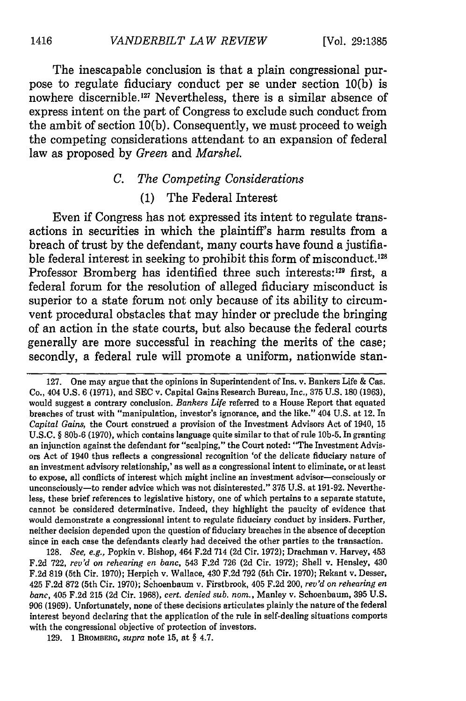The inescapable conclusion is that a plain congressional purpose to regulate fiduciary conduct per se under section 10(b) is nowhere discernible.<sup>127</sup> Nevertheless, there is a similar absence of express intent on the part of Congress to exclude such conduct from the ambit of section 10(b). Consequently, we must proceed to weigh the competing considerations attendant to an expansion of federal law as proposed by *Green* and *Marshel.*

# *C. The Competing Considerations*

# (1) The Federal Interest

Even if Congress has not expressed its intent to regulate transactions in securities in which the plaintiff's harm results from a breach of trust by the defendant, many courts have found a justifiable federal interest in seeking to prohibit this form of misconduct.<sup>128</sup> Professor Bromberg has identified three such interests:<sup>129</sup> first, a federal forum for the resolution of alleged fiduciary misconduct is superior to a state forum not only because of its ability to circumvent procedural obstacles that may hinder or preclude the bringing of an action in the state courts, but also because the federal courts generally are more successful in reaching the merits of the case; secondly, a federal rule will promote a uniform, nationwide stan-

**128.** *See, e.g.,* Popkin v. Bishop, 464 **F.2d** 714 **(2d** Cir. **1972);** Drachman v. Harvey, 453 **F.2d 722,** *rev'd on rehearing en banc,* 543 **F.2d 726 (2d** Cir. **1972);** Shell v. Hensley, 430 **F.2d 819** (5th Cir. **1970);** Herpich v. Wallace, 430 **F.2d 792** (5th Cir. **1970);** Rekant v. Desser, 425 **F.2d 872** (5th Cir. **1970);** Schoenbaum v. Firstbrook, 405 **F.2d** 200, *rev'd on rehearing en banc,* 405 F.2d 215 **(2d** Cir. 1968), *cert. denied sub. nom.,* Manley v. Schoenbaum, 395 U.S. 906 (1969). Unfortunately, none of these decisions articulates plainly the nature of the federal interest beyond declaring that the application of the rule in self-dealing situations comports with the congressional objective of protection of investors.

**129. 1** BROMBERG, *supra* note **15,** at § 4.7.

<sup>127.</sup> One may argue that the opinions in Superintendent of Ins. v. Bankers Life & Cas. Co., 404 **U.S. 6 (1971),** and **SEC** v. Capital Gains Research Bureau, Inc., **375 U.S. 180 (1963),** would suggest a contrary conclusion. *Bankers Life* referred to a House Report that equated breaches of trust with "manipulation, investor's ignorance, and the like." 404 **U.S.** at 12. In *Capital Gains,* the Court construed a provision of the Investment Advisors Act of 1940, **15 U.S.C.** § **80b-6 (1970),** which contains language quite similar to that of rule **10b-5.** In granting an injunction against the defendant for "scalping," the Court noted: "The Investment Advisors Act of 1940 thus reflects a congressional recognition 'of the delicate fiduciary nature of an investment advisory relationship,' as well as a congressional intent to eliminate, or at least to expose, all conflicts of interest which might incline an investment advisor-consciously or unconsciously-to render advice which was not disinterested." **375 U.S.** at **191-92.** Nevertheless, these brief references to legislative history, one of which pertains to a separate statute, cannot be considered determinative. Indeed, they highlight the paucity of evidence that would demonstrate a congressional intent to regulate fiduciary conduct **by** insiders. Further, neither decision depended upon the question of fiduciary breaches in the absence of deception since in each case the defendants clearly had deceived the other parties to the transaction.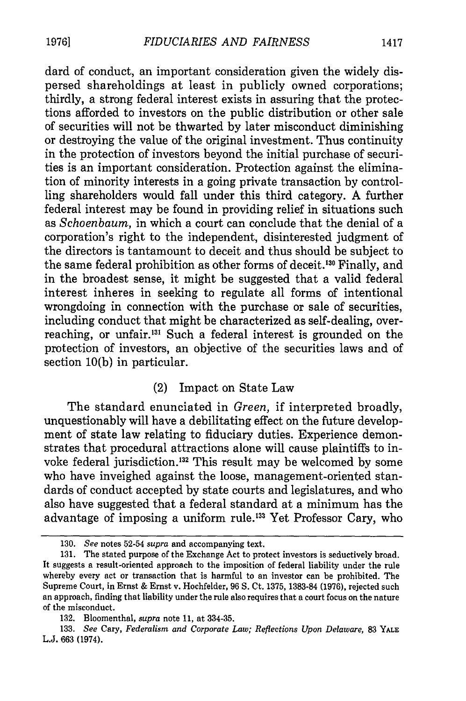dard of conduct, an important consideration given the widely dispersed shareholdings at least in publicly owned corporations; thirdly, a strong federal interest exists in assuring that the protections afforded to investors on the public distribution or other sale of securities will not be thwarted by later misconduct diminishing or destroying the value of the original investment. Thus continuity in the protection of investors beyond the initial purchase of securities is an important consideration. Protection against the elimination of minority interests in a going private transaction by controlling shareholders would fall under this third category. A further federal interest may be found in providing relief in situations such as *Schoenbaum,* in which a court can conclude that the denial of a corporation's right to the independent, disinterested judgment of the directors is tantamount to deceit and thus should be subject to the same federal prohibition as other forms of deceit.<sup>130</sup> Finally, and in the broadest sense, it might be suggested that a valid federal interest inheres in seeking to regulate all forms of intentional wrongdoing in connection with the purchase or sale of securities, including conduct that might be characterized as self-dealing, overreaching, or unfair.<sup>131</sup> Such a federal interest is grounded on the protection of investors, an objective of the securities laws and of section 10(b) in particular.

#### (2) Impact on State Law

The standard enunciated in *Green,* if interpreted broadly, unquestionably will have a debilitating effect on the future development of state law relating to fiduciary duties. Experience demonstrates that procedural attractions alone will cause plaintiffs to invoke federal jurisdiction.<sup>132</sup> This result may be welcomed by some who have inveighed against the loose, management-oriented standards of conduct accepted by state courts and legislatures, and who also have suggested that a federal standard at a minimum has the advantage of imposing a uniform rule.'33 Yet Professor Cary, who

**<sup>130.</sup>** *See* notes 52-54 *supra* and accompanying text.

**<sup>131.</sup>** The stated purpose of the Exchange Act to protect investors is seductively broad. It suggests a result-oriented approach to the imposition of federal liability under the rule whereby every act or transaction that is harmful to an investor can be prohibited. The Supreme Court, in Ernst & Ernst v. Hochfelder, 96 S. Ct. 1375, 1383-84 (1976), rejected such an approach, finding that liability under the rule also requires that a court focus on the nature of the misconduct.

<sup>132.</sup> Bloomenthal, *supra* note 11, at 334-35.

<sup>133.</sup> *See* Cary, *Federalism and Corporate Law; Reflections Upon Delaware,* 83 **YALE** L.J. 663 (1974).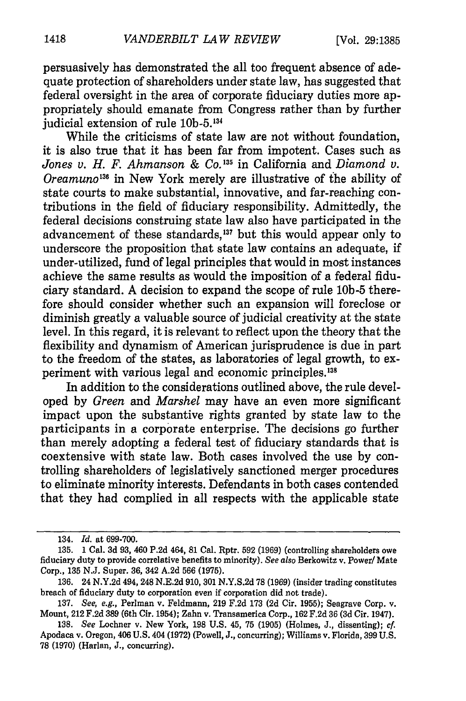persuasively has demonstrated the all too frequent absence of adequate protection of shareholders under state law, has suggested that federal oversight in the area of corporate fiduciary duties more appropriately should emanate from Congress rather than by further judicial extension of rule 10b-5.<sup>134</sup>

While the criticisms of state law are not without foundation, it is also true that it has been far from impotent. Cases such as *Jones v. H. F. Ahmanson & Co. 3'5* in California and *Diamond v. Oreamuno'35* in New York merely are illustrative of the ability of state courts to make substantial, innovative, and far-reaching contributions in the field of fiduciary responsibility. Admittedly, the federal decisions construing state law also have participated in the advancement of these standards,<sup>137</sup> but this would appear only to underscore the proposition that state law contains an adequate, if under-utilized, fund of legal principles that would in most instances achieve the same results as would the imposition of a federal fiduciary standard. A decision to expand the scope of rule **10b-5** therefore should consider whether such an expansion will foreclose or diminish greatly a valuable source of judicial creativity at the state level. In this regard, it is relevant to reflect upon the theory that the flexibility and dynamism of American jurisprudence is due in part to the freedom of the states, as laboratories of legal growth, to experiment with various legal and economic principles.<sup>138</sup>

In addition to the considerations outlined above, the rule developed by *Green* and *Marshel* may have an even more significant impact upon the substantive rights granted by state law to the participants in a corporate enterprise. The decisions go further than merely adopting a federal test of fiduciary standards that is coextensive with state law. Both cases involved the use by controlling shareholders of legislatively sanctioned merger procedures to eliminate minority interests. Defendants in both cases contended that they had complied in all respects with the applicable state

<sup>134.</sup> *Id.* at 699-700.

<sup>135. 1</sup> Cal. 3d 93, 460 P.2d 464, **81** Cal. Rptr. 592 (1969) (controlling shareholders owe fiduciary duty to provide correlative benefits to minority). *See also* Berkowitz v. Power/Mate Corp., **135 N.J.** Super. **36,** 342 **A.2d 566 (1975).**

**<sup>136.</sup>** 24 **N.Y.2d** 494, 248 **N.E.2d 910, 301 N.Y.S.2d 78 (1969)** (insider trading constitutes breach of fiduciary duty to corporation even if corporation did not trade).

**<sup>137.</sup>** See, e.g., Perlman v. Feldmann, **219 F.2d 173 (2d** Cir. **1955);** Seagrave Corp. v. Mount, 212 **F.2d 389** (6th Cir. 1954); Zahn v. Transamerica Corp., **162 F.2d 36 (3d** Cir. 1947).

**<sup>138.</sup>** *See* Lochner v. New York, **198 U.S.** 45, **75 (1905)** (Holmes, **J.,** dissenting); *cf.* Apodaca v. Oregon, 406 **U.S.** 404 **(1972)** (Powell, **J.,** concurring); Williams v. Florida, **399 U.S. 78 (1970)** (Harlan, **J.,** concurring).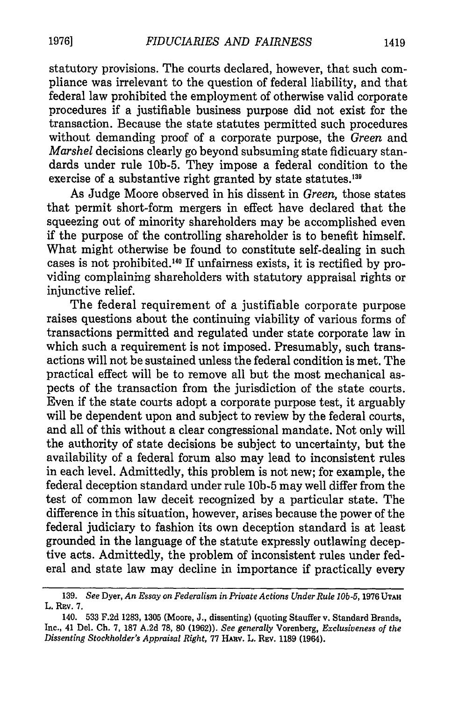statutory provisions. The courts declared, however, that such compliance was irrelevant to the question of federal liability, and that federal law prohibited the employment of otherwise valid corporate procedures if a justifiable business purpose did not exist for the transaction. Because the state statutes permitted such procedures without demanding proof of a corporate purpose, the *Green* and *Marshel* decisions clearly go beyond subsuming state fidicuary standards under rule 10b-5. They impose a federal condition to the exercise of a substantive right granted by state statutes.<sup>139</sup>

As Judge Moore observed in his dissent in *Green,* those states that permit short-form mergers in effect have declared that the squeezing out of minority shareholders may be accomplished even if the purpose of the controlling shareholder is to benefit himself. What might otherwise be found to constitute self-dealing in such cases is not prohibited.<sup>140</sup> If unfairness exists, it is rectified by providing complaining shareholders with statutory appraisal rights or injunctive relief.

The federal requirement of a justifiable corporate purpose raises questions about the continuing viability of various forms of transactions permitted and regulated under state corporate law in which such a requirement is not imposed. Presumably, such transactions will not be sustained unless the federal condition is met. The practical effect will be to remove all but the most mechanical aspects of the transaction from the jurisdiction of the state courts. Even if the state courts adopt a corporate purpose test, it arguably will be dependent upon and subject to review by the federal courts, and all of this without a clear congressional mandate. Not only will the authority of state decisions be subject to uncertainty, but the availability of a federal forum also may lead to inconsistent rules in each level. Admittedly, this problem is not new; for example, the federal deception standard under rule **10b-5** may well differ from the test of common law deceit recognized by a particular state. The difference in this situation, however, arises because the power of the federal judiciary to fashion its own deception standard is at least grounded in the language of the statute expressly outlawing deceptive acts. Admittedly, the problem of inconsistent rules under federal and state law may decline in importance if practically every

<sup>139.</sup> *See* Dyer, *An Essay on Federalism in Private Actions Under Rule lOb-5,* 1976 **UTAH** L. Rav. **7.**

<sup>140. 533</sup> F.2d 1283, 1305 (Moore, J., dissenting) (quoting Stauffer v. Standard Brands, Inc., 41 Del. Ch. 7, 187 A.2d 78, 80 (1962)). *See generally* Vorenberg, *Exclusiveness of the Dissenting Stockholder's Appraisal Right,* 77 HAv. L. REv. 1189 (1964).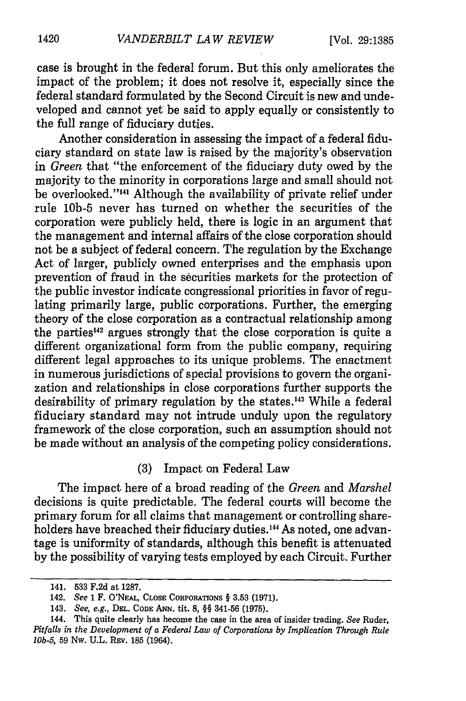case is brought in the federal forum. But this only ameliorates the impact of the problem; it does not resolve it, especially since the federal standard formulated by the Second Circuit is new and undeveloped and cannot yet be said to apply equally or consistently to the full range of fiduciary duties.

Another consideration in assessing the impact of a federal fiduciary standard on state law is raised by the majority's observation in *Green* that "the enforcement of the fiduciary duty owed by the majority to the minority in corporations large and small should not be overlooked."<sup>141</sup> Although the availability of private relief under rule **10b-5** never has turned on whether the securities of the corporation were publicly held, there is logic in an argument that the management and internal affairs of the close corporation should not be a subject of federal concern. The regulation by the Exchange Act of larger, publicly owned enterprises and the emphasis upon prevention of fraud in the securities markets for the protection of the public investor indicate congressional priorities in favor of regulating primarily large, public corporations. Further, the emerging theory of the close corporation as a contractual relationship among the parties<sup>142</sup> argues strongly that the close corporation is quite a different organizational form from the public company, requiring different legal approaches to its unique problems. The enactment in numerous jurisdictions of special provisions to govern the organization and relationships in close corporations further supports the desirability of primary regulation by the states.<sup>143</sup> While a federal fiduciary standard may not intrude unduly upon the regulatory framework of the close corporation, such an assumption should not be made without an analysis of the competing policy considerations.

(3) Impact on Federal Law

The impact here of a broad reading of the *Green* and *Marshel* decisions is quite predictable. The federal courts will become the primary forum for all claims that management or controlling shareholders have breached their fiduciary duties.<sup>144</sup> As noted, one advantage is uniformity of standards, although this benefit is attenuated by the possibility of varying tests employed by each Circuit. Further

<sup>141. 533</sup> F.2d at 1287.

<sup>142.</sup> *See* **1** F. **O'NEAL, CLOSE** CORPORATIONS § 3.53 (1971).

<sup>143.</sup> *See, e.g.,* **DEL. CODE ANN.** tit. **8,** §§ 341-56 (1975).

<sup>144.</sup> This quite clearly has become the case in the area of insider trading. *See* Ruder, *Pitfalls in the Development of a Federal Law of Corporations by Implication Through Rule 10b-5,* 59 Nw. U.L. REv. 185 (1964).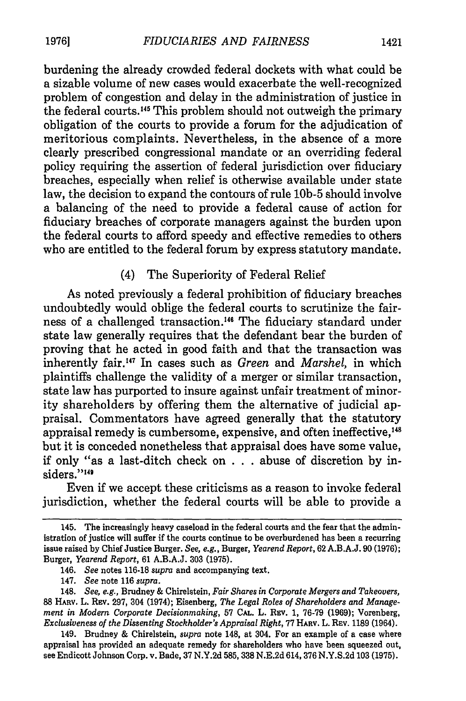burdening the already crowded federal dockets with what could be a sizable volume of new cases would exacerbate the well-recognized problem of congestion and delay in the administration of justice in the federal courts. 45 This problem should not outweigh the primary obligation of the courts to provide a forum for the adjudication of meritorious complaints. Nevertheless, in the absence of a more clearly prescribed congressional mandate or an overriding federal policy requiring the assertion of federal jurisdiction over fiduciary breaches, especially when relief is otherwise available under state law, the decision to expand the contours of rule **10b-5** should involve a balancing of the need to provide a federal cause of action for fiduciary breaches of corporate managers against the burden upon the federal courts to afford speedy and effective remedies to others who are entitled to the federal forum by express statutory mandate.

#### (4) The Superiority of Federal Relief

As noted previously a federal prohibition of fiduciary breaches undoubtedly would oblige the federal courts to scrutinize the fairness of a challenged transaction.<sup>146</sup> The fiduciary standard under state law generally requires that the defendant bear the burden of proving that he acted in good faith and that the transaction was inherently fair. 47 In cases such as *Green* and *Marshel,* in which plaintiffs challenge the validity of a merger or similar transaction, state law has purported to insure against unfair treatment of minority shareholders by offering them the alternative of judicial appraisal. Commentators have agreed generally that the statutory appraisal remedy is cumbersome, expensive, and often ineffective,<sup>148</sup> but it is conceded nonetheless that appraisal does have some value, if only "as a last-ditch check on . . . abuse of discretion by insiders."<sup>149</sup>

Even if we accept these criticisms as a reason to invoke federal jurisdiction, whether the federal courts will be able to provide a

149. Brudney & Chirelstein, *supra* note 148, at 304. For an example of a case where appraisal has provided an adequate remedy for shareholders who have been squeezed out, see Endicott Johnson Corp. v. Bade, 37 N.Y.2d 585, 338 N.E.2d 614, 376 N.Y.S.2d 103 (1975).

<sup>145.</sup> The increasingly heavy caseload in the federal courts and the fear that the administration of justice will suffer if the courts continue to be overburdened has been a recurring issue raised by Chief Justice Burger. *See, e.g.,* Burger, *Yearend Report,* 62 A.B.A.J. 90 (1976); Burger, *Yearend Report,* 61 A.B.A.J. 303 (1975).

<sup>146.</sup> *See* notes 116-18 *supra* and accompanying text.

<sup>147.</sup> *See* note 116 *supra.*

<sup>148.</sup> *See, e.g.,* Brudney & Chirelstein, *Fair Shares in Corporate Mergers and Takeovers,* 88 **HARV.** L. REv. 297, 304 (1974); Eisenberg, *The Legal Roles of Shareholders and Management in Modem Corporate Decisionmaking,* 57 CAL. L. Rev. 1, 76-79 (1969); Vorenberg, *Exclusiveness of the Dissenting Stockholder's Appraisal Right,* 77 HARV. L. REv. 1189 (1964).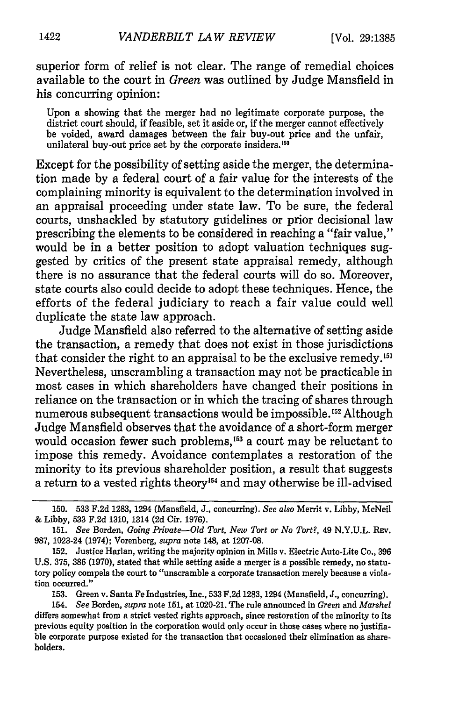superior form of relief is not clear. The range of remedial choices available to the court in *Green* was outlined by Judge Mansfield in his concurring opinion:

Upon a showing that the merger had no legitimate corporate purpose, the district court should, if feasible, set it aside or, if the merger cannot effectively be voided, award damages between the fair buy-out price and the unfair, unilateral buy-out price set by the corporate insiders.<sup>150</sup>

Except for the possibility of setting aside the merger, the determination made by a federal court of a fair value for the interests of the complaining minority is equivalent to the determination involved in an appraisal proceeding under state law. To be sure, the federal courts, unshackled by statutory guidelines or prior decisional law prescribing the elements to be considered in reaching a "fair value," would be in a better position to adopt valuation techniques suggested by critics of the present state appraisal remedy, although there is no assurance that the federal courts will do so. Moreover, state courts also could decide to adopt these techniques. Hence, the efforts of the federal judiciary to reach a fair value could well duplicate the state law approach.

Judge Mansfield also referred to the alternative of setting aside the transaction, a remedy that does not exist in those jurisdictions that consider the right to an appraisal to be the exclusive remedy.<sup>151</sup> Nevertheless, unscrambling a transaction may not be practicable in most cases in which shareholders have changed their positions in reliance on the transaction or in which the tracing of shares through numerous subsequent transactions would be impossible.<sup>152</sup> Although Judge Mansfield observes that the avoidance of a short-form merger would occasion fewer such problems,<sup>153</sup> a court may be reluctant to impose this remedy. Avoidance contemplates a restoration of the minority to its previous shareholder position, a result that suggests a return to a vested rights theory<sup>154</sup> and may otherwise be ill-advised

153. Green v. Santa Fe Industries, Inc., 533 F.2d 1283, 1294 (Mansfield, J., concurring).

<sup>150. 533</sup> F.2d 1283, 1294 (Mansfield, J., concurring). *See* also Merrit v. Libby, McNeil & Libby, 533 F.2d 1310, 1314 (2d Cir. 1976).

<sup>151.</sup> *See* Borden, *Going Private-Old Tort, New Tort or No Tort?,* 49 N.Y.U.L. REV. 987, 1023-24 (1974); Vorenberg, *supra* note 148, at 1207-08.

<sup>152.</sup> Justice Harlan, writing the majority opinion in Mills v. Electric Auto-Lite Co., 396 U.S. 375, 386 (1970), stated that while setting aside a merger is a possible remedy, no statutory policy compels the court to "unscramble a corporate transaction merely because a violation occurred."

<sup>154.</sup> *See* Borden, *supra* note 151, at 1020-21. The rule announced in *Green* and *Marshel* differs somewhat from a strict vested rights approach, since restoration of the minority to its previous equity position in the corporation would only occur in those cases where no justifiable corporate purpose existed for the transaction that occasioned their elimination as shareholders.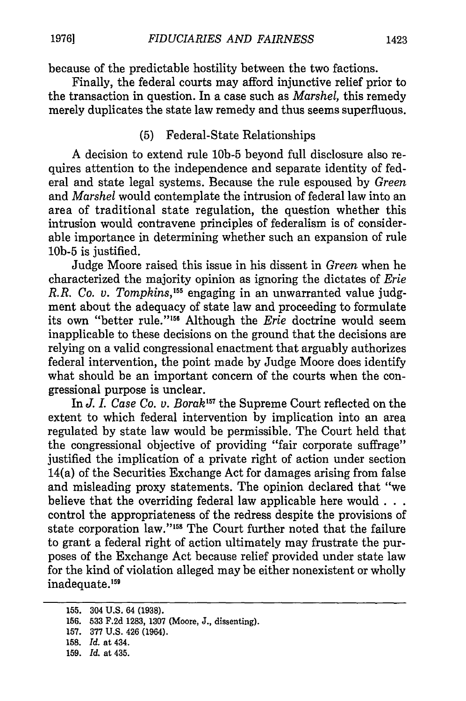because of the predictable hostility between the two factions.

Finally, the federal courts may afford injunctive relief prior to the transaction in question. In a case such as *Marshel,* this remedy merely duplicates the state law remedy and thus seems superfluous.

### (5) Federal-State Relationships

A decision to extend rule **10b-5** beyond full disclosure also requires attention to the independence and separate identity of federal and state legal systems. Because the rule espoused by *Green* and *Marshel* would contemplate the intrusion of federal law into an area of traditional state regulation, the question whether this intrusion would contravene principles of federalism is of considerable importance in determining whether such an expansion of rule **10b-5** is justified.

Judge Moore raised this issue in his dissent in *Green* when he characterized the majority opinion as ignoring the dictates of *Erie R.R. Co. v. Tompkins, " '* engaging in an unwarranted value judgment about the adequacy of state law and proceeding to formulate its own "better rule."<sup>156</sup> Although the *Erie* doctrine would seem inapplicable to these decisions on the ground that the decisions are relying on a valid congressional enactment that arguably authorizes federal intervention, the point made by Judge Moore does identify what should be an important concern of the courts when the congressional purpose is unclear.

In *J. I. Case Co. v. Borak"7* the Supreme Court reflected on the extent to which federal intervention by implication into an area regulated by state law would be permissible. The Court held that the congressional objective of providing "fair corporate suffrage" justified the implication of a private right of action under section 14(a) of the Securities Exchange Act for damages arising from false and misleading proxy statements. The opinion declared that "we believe that the overriding federal law applicable here would **...** control the appropriateness of the redress despite the provisions of state corporation law."<sup>158</sup> The Court further noted that the failure to grant a federal right of action ultimately may frustrate the purposes of the Exchange Act because relief provided under state law for the kind of violation alleged may be either nonexistent or wholly inadequate.<sup>159</sup>

<sup>155. 304</sup> U.S. 64 (1938).

<sup>156. 533</sup> F.2d 1283, 1307 (Moore, J., dissenting).

<sup>157. 377</sup> U.S. 426 (1964).

<sup>158.</sup> *Id.* at 434.

<sup>159.</sup> *Id.* at 435.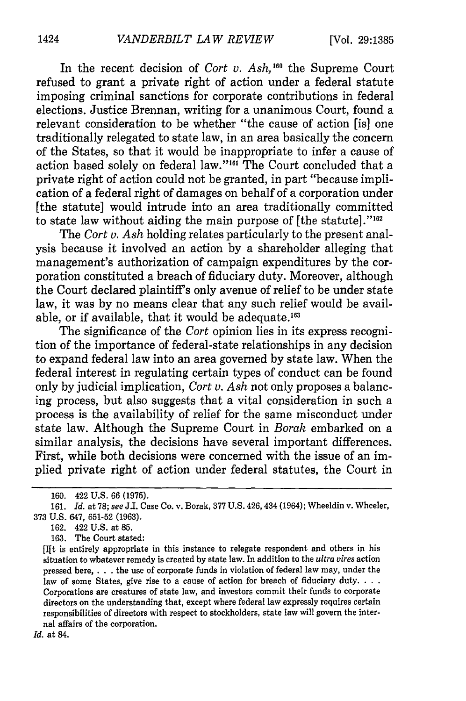In the recent decision of *Cort v. Ash,'60* the Supreme Court refused to grant a private right of action under a federal statute imposing criminal sanctions for corporate contributions in federal elections. Justice Brennan, writing for a unanimous Court, found a relevant consideration to be whether "the cause of action [is] one traditionally relegated to state law, in an area basically the concern of the States, so that it would be inappropriate to infer a cause of action based solely on federal law."<sup>161</sup> The Court concluded that a private right of action could not be granted, in part "because implication of a federal right of damages on behalf of a corporation under [the statute] would intrude into an area traditionally committed to state law without aiding the main purpose of  $[$ the statute $]$ ." $162$ 

The *Cort v. Ash* holding relates particularly to the present analysis because it involved an action by a shareholder alleging that management's authorization of campaign expenditures by the corporation constituted a breach of fiduciary duty. Moreover, although the Court declared plaintiff's only avenue of relief to be under state law, it was by no means clear that any such relief would be available, or if available, that it would be adequate.<sup>163</sup>

The significance of the *Cort* opinion lies in its express recognition of the importance of federal-state relationships in any decision to expand federal law into an area governed by state law. When the federal interest in regulating certain types of conduct can be found only by judicial implication, *Cort v. Ash* not only proposes a balancing process, but also suggests that a vital consideration in such a process is the availability of relief for the same misconduct under state law. Although the Supreme Court in *Borak* embarked on a similar analysis, the decisions have several important differences. First, while both decisions were concerned with the issue of an implied private right of action under federal statutes, the Court in

**163.** The Court stated:

*Id.* at 84.

<sup>160. 422</sup> U.S. 66 (1975).

<sup>161.</sup> *Id.* at 78; see J.I. Case Co. v. Borak, 377 U.S. 426, 434 (1964); Wheeldin v. Wheeler, 373 U.S. 647, 651-52 (1963).

<sup>162. 422</sup> U.S. at 85.

<sup>[</sup>Ift is entirely appropriate in this instance to relegate respondent and others in his situation to whatever remedy is created **by** state law. In addition to the *ultra vires* action pressed here, **. . .** the use of corporate funds in violation of federal law may, under the law of some States, give rise to a cause of action for breach of fiduciary duty. **...** Corporations are creatures of state law, and investors commit their funds to corporate directors on the understanding that, except where federal law expressly requires certain responsibilities of directors with respect to stockholders, state law will govern the internal affairs of the corporation.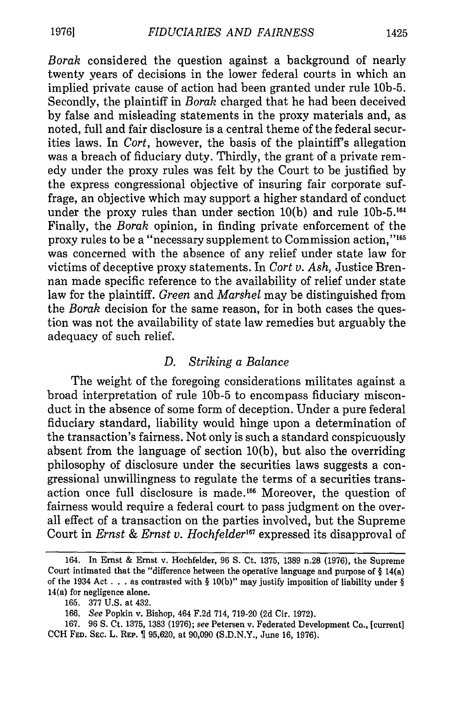*Borak* considered the question against a background of nearly twenty years of decisions in the lower federal courts in which an implied private cause of action had been granted under rule **10b-5.** Secondly, the plaintiff in *Borak* charged that he had been deceived by false and misleading statements in the proxy materials and, as noted, full and fair disclosure is a central theme of the federal securities laws. In *Cort,* however, the basis of the plaintiff's allegation was a breach of fiduciary duty. Thirdly, the grant of a private remedy under the proxy rules was felt by the Court to be justified by the express congressional objective of insuring fair corporate suffrage, an objective which may support a higher standard of conduct under the proxy rules than under section 10(b) and rule 10b-5.'64 Finally, the *Borak* opinion, in finding private enforcement of the proxy rules to be a "necessary supplement to Commission action,"<sup>165</sup> was concerned with the absence of any relief under state law for victims of deceptive proxy statements. In *Cort v. Ash,* Justice Brennan made specific reference to the availability of relief under state law for the plaintiff. *Green* and *Marshel* may be distinguished from the *Borak* decision for the same reason, for in both cases the question was not the availability of state law remedies but arguably the adequacy of such relief.

#### *D. Striking a Balance*

The weight of the foregoing considerations militates against a broad interpretation of rule **10b-5** to encompass fiduciary misconduct in the absence of some form of deception. Under a pure federal fiduciary standard, liability would hinge upon a determination of the transaction's fairness. Not only is such a standard conspicuously absent from the language of section 10(b), but also the overriding philosophy of disclosure under the securities laws suggests a congressional unwillingness to regulate the terms of a securities transaction once full disclosure is made.<sup>166</sup> Moreover, the question of fairness would require a federal court to pass judgment on the overall effect of a transaction on the parties involved, but the Supreme Court in *Ernst & Ernst v. Hochfelder*<sup>167</sup> expressed its disapproval of

<sup>164.</sup> In Ernst & Ernst v. Hochfelder, 96 S. Ct. 1375, 1389 n.28 (1976), the Supreme Court intimated that the "difference between the operative language and purpose of § 14(a) of the 1934 Act **.** . as contrasted with § 10(b)" may justify imposition of liability under § 14(a) for negligence alone.

<sup>165. 377</sup> U.S. at 432.

<sup>166.</sup> See Popkin v. Bishop, 464 F.2d 714, 719-20 (2d Cir. 1972).

<sup>167. 96</sup> **S.** Ct. **1375,** 1383 (1976); see Petersen v. Federated Development Co., [current] CCH **FED. SEC.** L. **REP.** 95,620, at 90,090 (S.D.N.Y., June 16, 1976).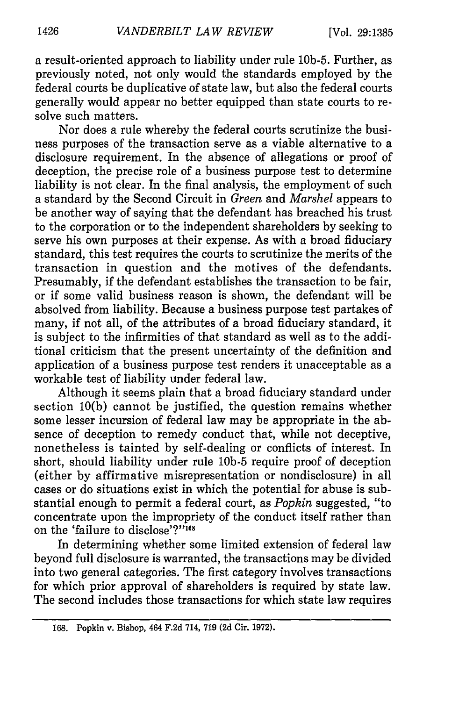a result-oriented approach to liability under rule 10b-5. Further, as previously noted, not only would the standards employed by the federal courts be duplicative of state law, but also the federal courts generally would appear no better equipped than state courts to resolve such matters.

Nor does a rule whereby the federal courts scrutinize the business purposes of the transaction serve as a viable alternative to a disclosure requirement. In the absence of allegations or proof of deception, the precise role of a business purpose test to determine liability is not clear. In the final analysis, the employment of such a standard by the Second Circuit in *Green* and *Marshel* appears to be another way of saying that the defendant has breached his trust to the corporation or to the independent shareholders by seeking to serve his own purposes at their expense. As with a broad fiduciary standard, this test requires the courts to scrutinize the merits of the transaction in question and the motives of the defendants. Presumably, if the defendant establishes the transaction to be fair, or if some valid business reason is shown, the defendant will be absolved from liability. Because a business purpose test partakes of many, if not all, of the attributes of a broad fiduciary standard, it is subject to the infirmities of that standard as well as to the additional criticism that the present uncertainty of the definition and application of a business purpose test renders it unacceptable as a workable test of liability under federal law.

Although it seems plain that a broad fiduciary standard under section 10(b) cannot be justified, the question remains whether some lesser incursion of federal law may be appropriate in the absence of deception to remedy conduct that, while not deceptive, nonetheless is tainted by self-dealing or conflicts of interest. In short, should liability under rule **10b-5** require proof of deception (either by affirmative misrepresentation or nondisclosure) in all cases or do situations exist in which the potential for abuse is substantial enough to permit a federal court, as *Popkin* suggested, "to concentrate upon the impropriety of the conduct itself rather than on the 'failure to disclose'?"'68

In determining whether some limited extension of federal law beyond full disclosure is warranted, the transactions may be divided into two general categories. The first category involves transactions for which prior approval of shareholders is required by state law. The second includes those transactions for which state law requires

<sup>168.</sup> Popkin v. Bishop, 464 **F.2d** 714, **719 (2d** Cir. 1972).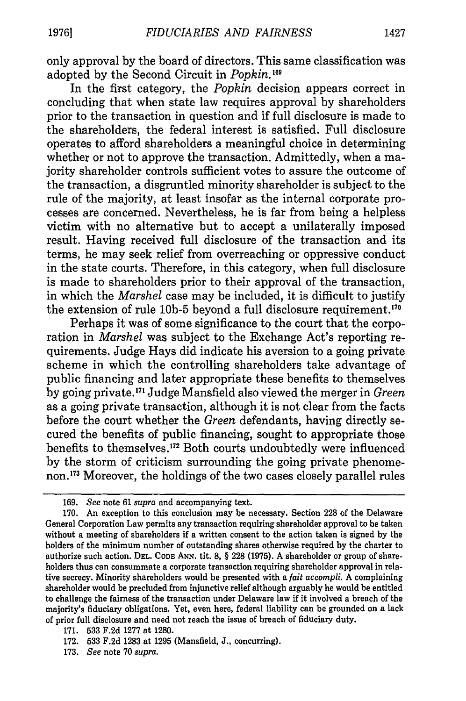only approval by the board of directors. This same classification was adopted by the Second Circuit in *Popkin.'19*

In the first category, the *Popkin* decision appears correct in concluding that when state law requires approval by shareholders prior to the transaction in question and if full disclosure is made to the shareholders, the federal interest is satisfied. Full disclosure operates to afford shareholders a meaningful choice in determining whether or not to approve the transaction. Admittedly, when a majority shareholder controls sufficient votes to assure the outcome of the transaction, a disgruntled minority shareholder is subject to the rule of the majority, at least insofar as the internal corporate processes are concerned. Nevertheless, he is far from being a helpless victim with no alternative but to accept a unilaterally imposed result. Having received full disclosure of the transaction and its terms, he may seek relief from overreaching or oppressive conduct in the state courts. Therefore, in this category, when full disclosure is made to shareholders prior to their approval of the transaction, in which the *Marshel* case may be included, it is difficult to justify the extension of rule **10b-5** beyond a full disclosure requirement.'70

Perhaps it was of some significance to the court that the corporation in *Marshel* was subject to the Exchange Act's reporting requirements. Judge Hays did indicate his aversion to a going private scheme in which the controlling shareholders take advantage of public financing and later appropriate these benefits to themselves by going private.<sup>171</sup> Judge Mansfield also viewed the merger in *Green* as a going private transaction, although it is not clear from the facts before the court whether the *Green* defendants, having directly secured the benefits of public financing, sought to appropriate those benefits to themselves.<sup>172</sup> Both courts undoubtedly were influenced by the storm of criticism surrounding the going private phenomenon.<sup>173</sup> Moreover, the holdings of the two cases closely parallel rules

<sup>169.</sup> *See* note 61 *supra* and accompanying text.

<sup>170.</sup> An exception to this conclusion may be necessary. Section 228 of the Delaware General Corporation Law permits any transaction requiring shareholder approval to be taken without a meeting of shareholders if a written consent to the action taken is signed by the holders of the minimum number of outstanding shares otherwise required by the charter to authorize such action. **DEL. CODE ANN.** tit. 8, § 228 (1975). A shareholder or group of shareholders thus can consummate a corporate transaction requiring shareholder approval in relative secrecy. Minority shareholders would be presented with a *fait accompli.* A complaining shareholder would be precluded from injunctive relief although arguably he would be entitled to challenge the fairness of the transaction under Delaware law if it involved a breach of the majority's fiduciary obligations. Yet, even here, federal liability can be grounded on a lack of prior full disclosure and need not reach the issue of breach of fiduciary duty.

<sup>171. 533</sup> F.2d 1277 at 1280.

<sup>172. 533</sup> F.2d 1283 at 1295 (Mansfield, J., concurring).

<sup>173.</sup> *See* note 70 *supra.*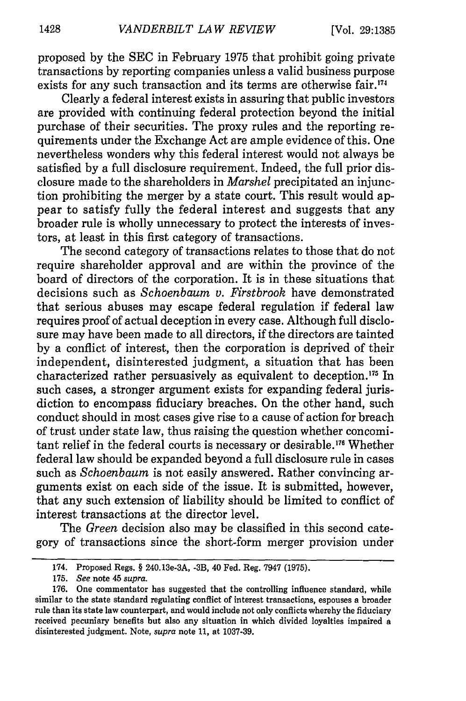proposed by the SEC in February 1975 that prohibit going private transactions by reporting companies unless a valid business purpose exists for any such transaction and its terms are otherwise fair.<sup>174</sup>

Clearly a federal interest exists in assuring that public investors are provided with continuing federal protection beyond the initial purchase of their securities. The proxy rules and the reporting requirements under the Exchange Act are ample evidence of this. One nevertheless wonders why this federal interest would not always be satisfied by a full disclosure requirement. Indeed, the full prior disclosure made to the shareholders in *Marshel* precipitated an injunction prohibiting the merger by a state court. This result would appear to satisfy fully the federal interest and suggests that any broader rule is wholly unnecessary to protect the interests of investors, at least in this first category of transactions.

The second category of transactions relates to those that do not require shareholder approval and are within the province of the board of directors of the corporation. It is in these situations that decisions such as *Schoenbaum v. Firstbrook* have demonstrated that serious abuses may escape federal regulation if federal law requires proof of actual deception in every case. Although full disclosure may have been made to all directors, if the directors are tainted by a conflict of interest, then the corporation is deprived of their independent, disinterested judgment, a situation that has been characterized rather persuasively as equivalent to deception.<sup>175</sup> In such cases, a stronger argument exists for expanding federal jurisdiction to encompass fiduciary breaches. On the other hand, such conduct should in most cases give rise to a cause of action for breach of trust under state law, thus raising the question whether concomitant relief in the federal courts is necessary or desirable.<sup>176</sup> Whether federal law should be expanded beyond a full disclosure rule in cases such as *Schoenbaum* is not easily answered. Rather convincing arguments exist on each side of the issue. It is submitted, however, that any such extension of liability should be limited to conflict of interest transactions at the director level.

The *Green* decision also may be classified in this second category of transactions since the short-form merger provision under

<sup>174.</sup> Proposed Regs. § 240.13e-3A, -3B, 40 Fed. Reg. 7947 (1975).

<sup>175.</sup> *See* note 45 *supra.*

**<sup>176.</sup>** One commentator has suggested that the controlling influence standard, while similar to the state standard regulating conflict of interest transactions, espouses a broader rule than its state law counterpart, and would include not only conflicts whereby the fiduciary received pecuniary benefits but also any situation in which divided loyalties impaired a disinterested judgment. Note, *supra* note 11, at 1037-39.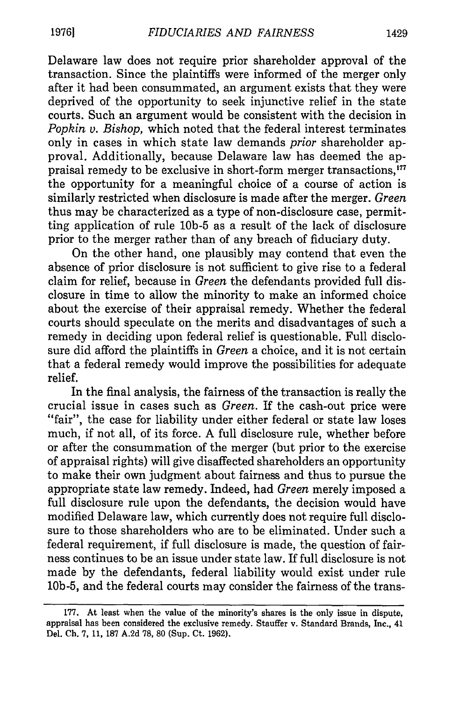Delaware law does not require prior shareholder approval of the transaction. Since the plaintiffs were informed of the merger only after it had been consummated, an argument exists that they were deprived of the opportunity to seek injunctive relief in the state courts. Such an argument would be consistent with the decision in *Popkin v. Bishop,* which noted that the federal interest terminates only in cases in which state law demands *prior* shareholder approval. Additionally, because Delaware law has deemed the appraisal remedy to be exclusive in short-form merger transactions,<sup>177</sup> the opportunity for a meaningful choice of a course of action is similarly restricted when disclosure is made after the merger. *Green* thus may be characterized as a type of non-disclosure case, permitting application of rule **10b-5** as a result of the lack of disclosure prior to the merger rather than of any breach of fiduciary duty.

On the other hand, one plausibly may contend that even the absence of prior disclosure is not sufficient to give rise to a federal claim for relief, because in *Green* the defendants provided full disclosure in time to allow the minority to make an informed choice about the exercise of their appraisal remedy. Whether the federal courts should speculate on the merits and disadvantages of such a remedy in deciding upon federal relief is questionable. Full disclosure did afford the plaintiffs in *Green* a choice, and it is not certain that a federal remedy would improve the possibilities for adequate relief.

In the final analysis, the fairness of the transaction is really the crucial issue in cases such as *Green.* If the cash-out price were "fair", the case for liability under either federal or state law loses much, if not all, of its force. A full disclosure rule, whether before or after the consummation of the merger (but prior to the exercise of appraisal rights) will give disaffected shareholders an opportunity to make their own judgment about fairness and thus to pursue the appropriate state law remedy. Indeed, had *Green* merely imposed a full disclosure rule upon the defendants, the decision would have modified Delaware law, which currently does not require full disclosure to those shareholders who are to be eliminated. Under such a federal requirement, if full disclosure is made, the question of fairness continues to be an issue under state law. If full disclosure is not made by the defendants, federal liability would exist under rule 10b-5, and the federal courts may consider the fairness of the trans-

<sup>177.</sup> At least when the value of the minority's shares is the only issue in dispute, appraisal has been considered the exclusive remedy. Stauffer v. Standard Brands, Inc., 41 Del. Ch. 7, 11, 187 A.2d 78, **80** (Sup. Ct. 1962).